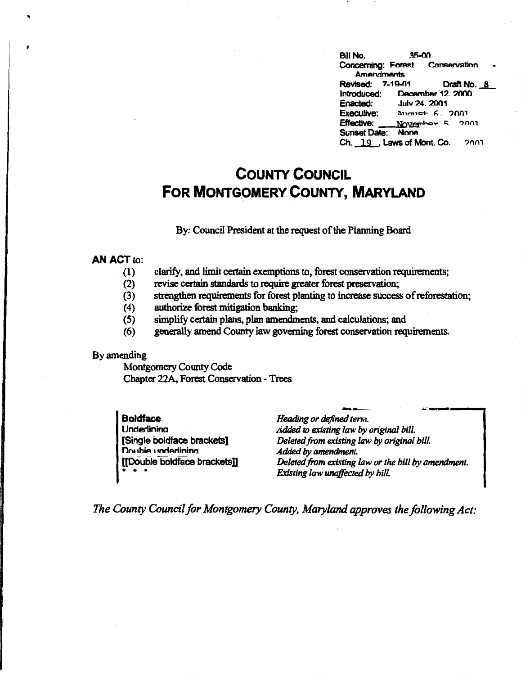| Bill No.                        | 35-00 |                                         |             |
|---------------------------------|-------|-----------------------------------------|-------------|
| Concerning: Forest Conservation |       |                                         |             |
| <b>Amendments</b>               |       |                                         |             |
| <b>Revised: 7-19-01</b>         |       |                                         | Draft No. 8 |
| Introduced: December 12, 2000   |       |                                         |             |
| <b>Enacted: July 24, 2001</b>   |       |                                         |             |
| Executive:                      |       | $\Delta$ 11 $m$ 19 <sup>+</sup> 6, 2001 |             |
| Effective: November 5 2001      |       |                                         |             |
| Sunset Date: None               |       |                                         |             |
| Ch. 19, Laws of Mont. Co. 2001  |       |                                         |             |

# **COUNTY COUNCIL FOR MONTGOMERY COUNTY, MARYLAND**

### By: Council President at the request of the Planning Board

#### **AN ACT** to:

- (1) clarify, and limit certain exemptions to, forest conservation requirements;
- (2) revise certain standards to require greater forest preservation;
- (3) strengthen requirements for forest planting to increase success of reforestation;
- (4) authorize forest mitigation banking;
- (5) simplify certain plans, plan amendments, and calculations; and
- (6) generally amend County law governing forest conservation requirements.

#### By amending

Montgomery County Code Chapter 22A, Forest Conservation - Trees

| l Boldface                   | Heading or defined term.                            |
|------------------------------|-----------------------------------------------------|
| I Underlinina                | <i>Added to existing law by original bill.</i>      |
| Single boldface brackets]    | Deleted from existing law by original bill.         |
| Double underlining           | Added by amendment.                                 |
| [[Double boldface brackets]] | Deleted from existing law or the bill by amendment. |
|                              | Existing law unaffected by bill.                    |

*The County Council for Montgomery County, Maryland approves the following Act:*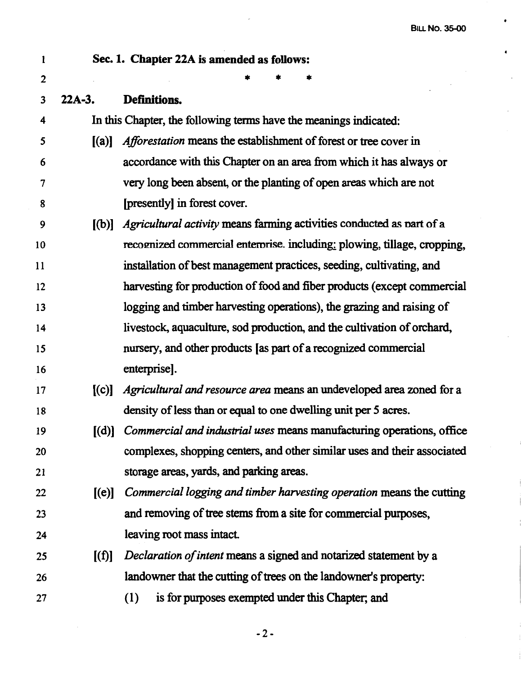$\bullet$ 

 $\bullet$ 

 $\overline{\phantom{a}}$ 

| 1                |          | Sec. 1. Chapter 22A is amended as follows:                               |
|------------------|----------|--------------------------------------------------------------------------|
| $\boldsymbol{2}$ |          |                                                                          |
| 3                | $22A-3.$ | Definitions.                                                             |
| 4                |          | In this Chapter, the following terms have the meanings indicated:        |
| 5                | (a)      | <i>Afforestation</i> means the establishment of forest or tree cover in  |
| 6                |          | accordance with this Chapter on an area from which it has always or      |
| $\overline{7}$   |          | very long been absent, or the planting of open areas which are not       |
| 8                |          | [presently] in forest cover.                                             |
| 9                | [(b)]    | Agricultural activity means farming activities conducted as part of a    |
| 10               |          | recognized commercial enterprise. including: plowing, tillage, cropping, |
| 11               |          | installation of best management practices, seeding, cultivating, and     |
| 12               |          | harvesting for production of food and fiber products (except commercial  |
| 13               |          | logging and timber harvesting operations), the grazing and raising of    |
| 14               |          | livestock, aquaculture, sod production, and the cultivation of orchard,  |
| 15               |          | nursery, and other products [as part of a recognized commercial          |
| 16               |          | enterprise].                                                             |
| 17               | [(c)]    | Agricultural and resource area means an undeveloped area zoned for a     |
| 18               |          | density of less than or equal to one dwelling unit per 5 acres.          |
| 19               | [(d)]    | Commercial and industrial uses means manufacturing operations, office    |
| 20               |          | complexes, shopping centers, and other similar uses and their associated |
| 21               |          | storage areas, yards, and parking areas.                                 |
| 22               | [(e)]    | Commercial logging and timber harvesting operation means the cutting     |
| 23               |          | and removing of tree stems from a site for commercial purposes,          |
| 24               |          | leaving root mass intact.                                                |
| 25               | [(f)]    | Declaration of intent means a signed and notarized statement by a        |
| 26               |          | landowner that the cutting of trees on the landowner's property:         |
| 27               |          | is for purposes exempted under this Chapter; and<br>(1)                  |

 $\overline{\phantom{a}}$ 

-2-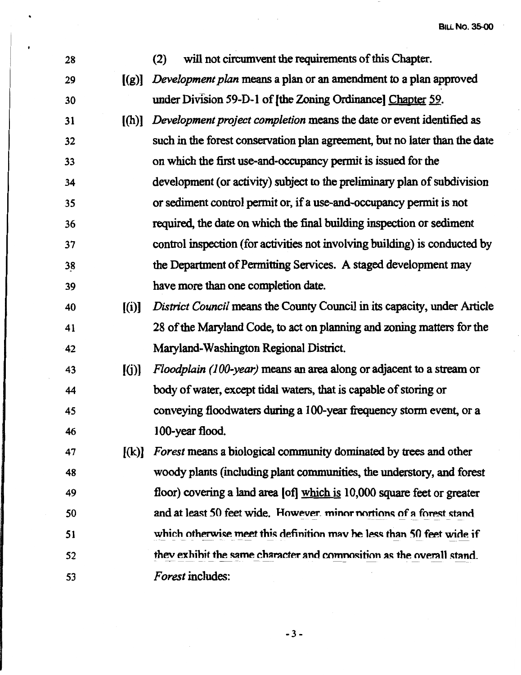28 (2) will not circumvent the requirements of this Chapter. 29 ((g)] *Development plan* means a plan or an amendment to a plan approved 30 under Division 59-D-1 of [the Zoning Ordinance] Chapter 59. 31 ((h)] *Development project completion* means the date or event identified as 32 such in the forest conservation plan agreement, but no later than the date 33 on which the first use-and-occupancy permit is issued for the 34 development ( or activity) subject to the preliminary plan of subdivision 35 or sediment control permit or, if a use-and-occupancy permit is not 36 required, the date on which the final building inspection or sediment 37 control inspection (for activities not involving building) is conducted by 38 the Department of Permitting Services. A staged development may 39 have more than one completion date. 40 ((i)] *District Council* means the County Council in its capacity, under Article 41 28 of the Maryland Code, to act on planning and zoning matters for the 42 Maryland-Washington Regional District 43 [(j)] *Floodplain (100-year)* means an area along or adjacent to a stream or 44 body of water, except tidal waters, that is capable of storing or 45 conveying floodwaters during a 100-year frequency storm event, or a 46 100-year flood. 47 ((k)] *Forest* means a biological community dominated by trees and other 48 woody plants (including plant communities, the understory, and forest 49 floor) covering a land area (of] which is 10,000 square feet or greater So and at least 50 feet wide. However, minor nortions of a forest stand 51 52 53 which otherwise meet this definition may be less than 50 feet wide if they exhibit the same character and composition as the overall stand. *Forest* includes: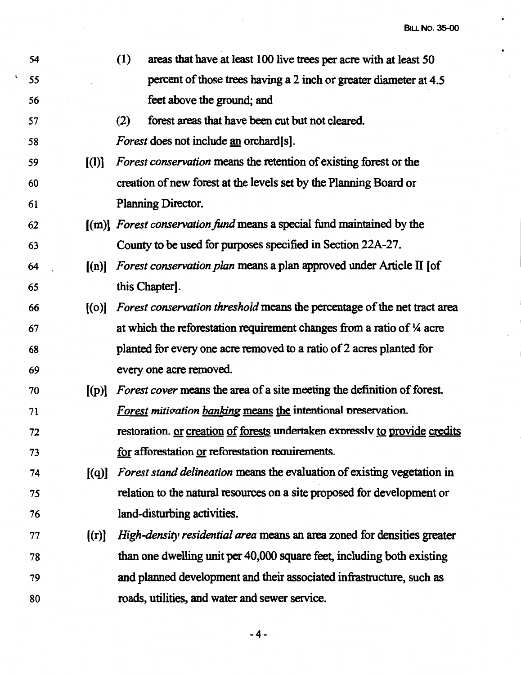$\bullet$ 

 $\bullet$ 

 $\bar{z}$ 

| 54 |                                                | (1)<br>areas that have at least 100 live trees per acre with at least 50            |
|----|------------------------------------------------|-------------------------------------------------------------------------------------|
| 55 |                                                | percent of those trees having a 2 inch or greater diameter at 4.5                   |
| 56 |                                                | feet above the ground; and                                                          |
| 57 |                                                | forest areas that have been cut but not cleared.<br>(2)                             |
| 58 |                                                | <i>Forest</i> does not include <u>an</u> orchard[s].                                |
| 59 | $\left[ \begin{matrix} 1 \end{matrix} \right]$ | Forest conservation means the retention of existing forest or the                   |
| 60 |                                                | creation of new forest at the levels set by the Planning Board or                   |
| 61 |                                                | Planning Director.                                                                  |
| 62 |                                                | $\lceil (m) \rceil$ Forest conservation fund means a special fund maintained by the |
| 63 |                                                | County to be used for purposes specified in Section 22A-27.                         |
| 64 | (n)                                            | <i>Forest conservation plan</i> means a plan approved under Article II [of          |
| 65 |                                                | this Chapter.                                                                       |
| 66 | [(o)]                                          | Forest conservation threshold means the percentage of the net tract area            |
| 67 |                                                | at which the reforestation requirement changes from a ratio of $\frac{1}{4}$ acre   |
| 68 |                                                | planted for every one acre removed to a ratio of 2 acres planted for                |
| 69 |                                                | every one acre removed.                                                             |
| 70 | $[$ (p)]                                       | Forest cover means the area of a site meeting the definition of forest.             |
| 71 |                                                | Forest mitigation banking means the intentional preservation.                       |
| 72 |                                                | restoration. or creation of forests undertaken expressiv to provide credits         |
| 73 |                                                | for afforestation or reforestation requirements.                                    |
| 74 | [(q)]                                          | <i>Forest stand delineation</i> means the evaluation of existing vegetation in      |
| 75 |                                                | relation to the natural resources on a site proposed for development or             |
| 76 |                                                | land-disturbing activities.                                                         |
| 77 | [(r)]                                          | High-density residential area means an area zoned for densities greater             |
| 78 |                                                | than one dwelling unit per 40,000 square feet, including both existing              |
| 79 |                                                | and planned development and their associated infrastructure, such as                |
| 80 |                                                | roads, utilities, and water and sewer service.                                      |

 $\langle \cdot, \cdot \rangle$ 

-4-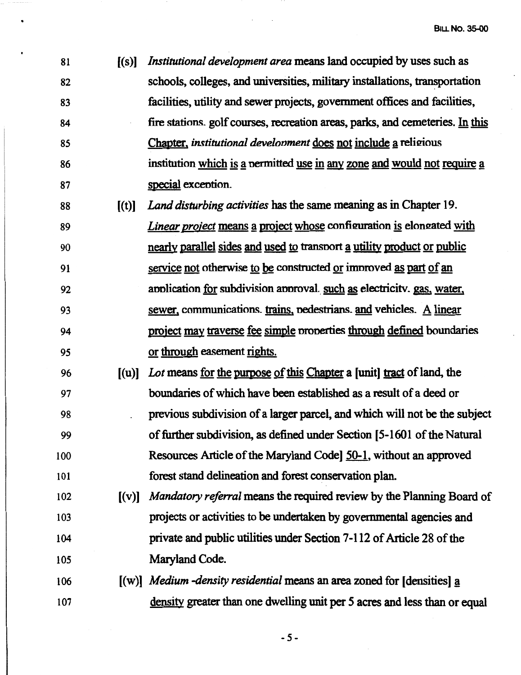- 81 [(s)] *Institutional development area* means land occupied by uses such as 82 schools, colleges, and universities, military installations, transportation 83 facilities, utility and sewer projects, government offices and facilities, 84 fire stations. golf courses, recreation areas, parks, and cemeteries. In this 85 Chapter, *institutional development* does not include a religious 86 institution which is a permitted use in any zone and would not require a 87 special excention.
- 88 [(t)] *Land disturbing activities* has the same meaning as in Chapter 19. 89 *Linear project* means a project whose configuration is elongated with 90 nearly parallel sides and used to transport a utility product or public 91 service not otherwise to be constructed or improved as part of an 92 annication for subdivision annoval such as electricity, gas, water, 93 sewer. communications. trains. nedestrians. and vehicles. A linear 94 project may traverse fee simple nronerties through defined boundaries *95* or through easement rights.
- 96 [(u)] *Lot* means for the purpose of this Chapter a [unit] tract of land, the 97 boundaries of which have been established as a result of a deed or 98 previous subdivision of a larger parcel, and which will not be the subject 99 of further subdivision, as defined under Section [5-1601 of the Natural 100 Resources Article of the Maryland Code] 50-1, without an approved 101 forest stand delineation and forest conservation plan.
- 102 **(v)** *Mandatory referral* means the required review by the Planning Board of 103 projects or activities to be undertaken by governmental agencies and 104 private and public utilities under Section 7-112 of Article 28 of the 105 Maryland Code.
- 106 [(w)] *Medium -density residential* means an area zoned for [densities] a 107 density greater than one dwelling unit per *5* acres and less than or equal

*-5-*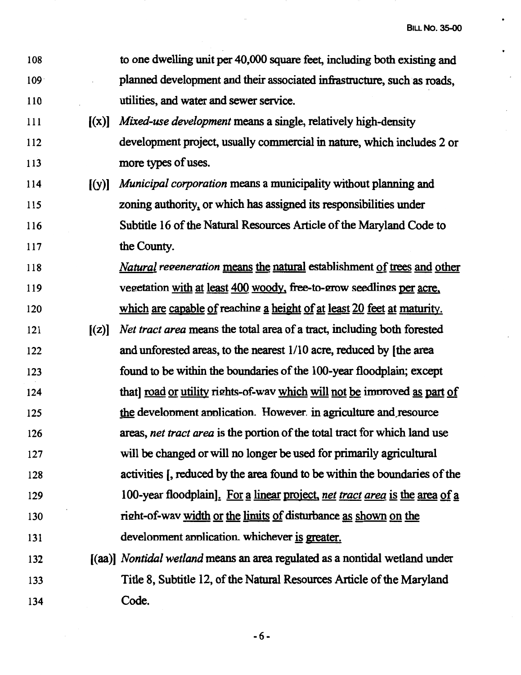$\bullet$ 

 $\bullet$ 

 $\mathcal{L}_{\mathcal{A}}$ 

 $\mathcal{L}^{\pm}$ 

 $\bar{\mathcal{A}}$ 

| 108              |       | to one dwelling unit per 40,000 square feet, including both existing and       |
|------------------|-------|--------------------------------------------------------------------------------|
| 109 <sup>°</sup> |       | planned development and their associated infrastructure, such as roads,        |
| 110              |       | utilities, and water and sewer service.                                        |
| 111              | [(x)] | Mixed-use development means a single, relatively high-density                  |
| 112              |       | development project, usually commercial in nature, which includes 2 or         |
| 113              |       | more types of uses.                                                            |
| 114              | [(y)] | <i>Municipal corporation</i> means a municipality without planning and         |
| 115              |       | zoning authority, or which has assigned its responsibilities under             |
| 116              |       | Subtitle 16 of the Natural Resources Article of the Maryland Code to           |
| 117              |       | the County.                                                                    |
| 118              |       | <i>Natural regeneration</i> means the natural establishment of trees and other |
| 119              |       | vegetation with at least 400 woody, free-to-grow seedlings per acre,           |
| 120              |       | which are capable of reaching a height of at least 20 feet at maturity.        |
| 121              | [(z)] | Net tract area means the total area of a tract, including both forested        |
| 122              |       | and unforested areas, to the nearest 1/10 acre, reduced by [the area           |
| 123              |       | found to be within the boundaries of the 100-year floodplain; except           |
| 124              |       | that character that it model will not be improved as part of                   |
| 125              |       | the development application. However in agriculture and resource               |
| 126              |       | areas, net tract area is the portion of the total tract for which land use     |
| 127              |       | will be changed or will no longer be used for primarily agricultural           |
| 128              |       | activities [, reduced by the area found to be within the boundaries of the     |
| 129              |       | 100-year floodplain]. For a linear project, net tract area is the area of a    |
| 130              |       | right-of-way width or the limits of disturbance as shown on the                |
| 131              |       | development application. whichever is greater.                                 |
| 132              |       | [(aa)] Nontidal wetland means an area regulated as a nontidal wetland under    |
| 133              |       | Title 8, Subtitle 12, of the Natural Resources Article of the Maryland         |
| 134              |       | Code.                                                                          |

 $\sim$ 

-6-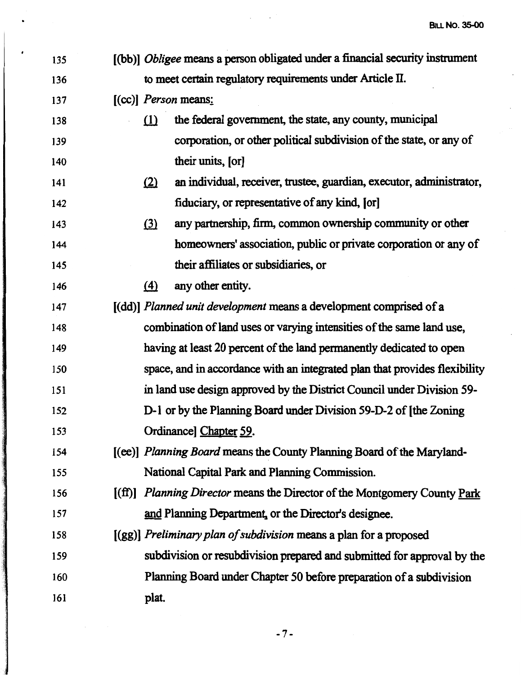$\ddot{\phantom{a}}$ 

 $\mathbb{R}^2$ 

| 135 | [(bb)] <i>Obligee</i> means a person obligated under a financial security instrument |
|-----|--------------------------------------------------------------------------------------|
| 136 | to meet certain regulatory requirements under Article II.                            |
| 137 | $[CC]$ <i>Person</i> means:                                                          |
| 138 | the federal government, the state, any county, municipal<br>(1)                      |
| 139 | corporation, or other political subdivision of the state, or any of                  |
| 140 | their units, [or]                                                                    |
| 141 | an individual, receiver, trustee, guardian, executor, administrator,<br>(2)          |
| 142 | fiduciary, or representative of any kind, [or]                                       |
| 143 | any partnership, firm, common ownership community or other<br>(3)                    |
| 144 | homeowners' association, public or private corporation or any of                     |
| 145 | their affiliates or subsidiaries, or                                                 |
| 146 | any other entity.<br>$\left( 4\right)$                                               |
| 147 | [(dd)] Planned unit development means a development comprised of a                   |
| 148 | combination of land uses or varying intensities of the same land use,                |
| 149 | having at least 20 percent of the land permanently dedicated to open                 |
| 150 | space, and in accordance with an integrated plan that provides flexibility           |
| 151 | in land use design approved by the District Council under Division 59-               |
| 152 | D-1 or by the Planning Board under Division 59-D-2 of [the Zoning                    |
| 153 | Ordinance] Chapter 59.                                                               |
| 154 | [(ee)] Planning Board means the County Planning Board of the Maryland-               |
| 155 | National Capital Park and Planning Commission.                                       |
| 156 | [(ff)] Planning Director means the Director of the Montgomery County Park            |
| 157 | and Planning Department, or the Director's designee.                                 |
| 158 | $[(gg)]$ Preliminary plan of subdivision means a plan for a proposed                 |
| 159 | subdivision or resubdivision prepared and submitted for approval by the              |
| 160 | Planning Board under Chapter 50 before preparation of a subdivision                  |
| 161 | plat.                                                                                |
|     |                                                                                      |

 $\mathcal{L}_{\text{max}} = \mathcal{L}_{\text{max}}^{(1)}$ 

-7-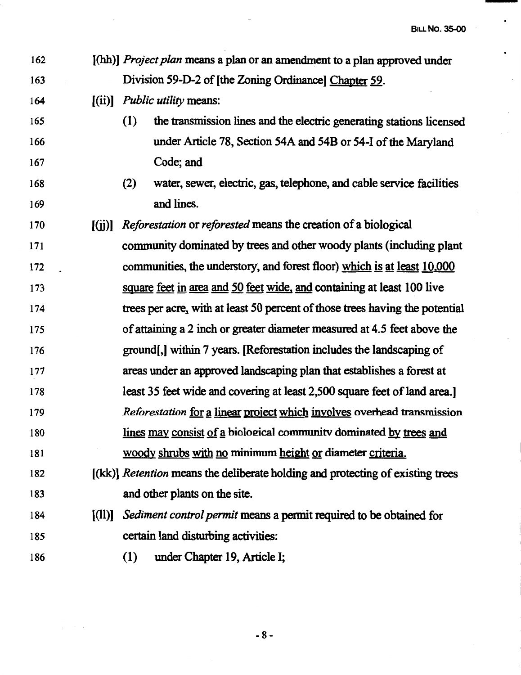$\ddot{\phantom{0}}$ 

 $\ddot{\phantom{0}}$ 

 $\bar{\mathcal{A}}$ 

 $\bar{z}$ 

| 162 |                       | [(hh)] Project plan means a plan or an amendment to a plan approved under      |
|-----|-----------------------|--------------------------------------------------------------------------------|
| 163 |                       | Division 59-D-2 of [the Zoning Ordinance] Chapter 59.                          |
| 164 | [(ii)]                | <i>Public utility means:</i>                                                   |
| 165 |                       | the transmission lines and the electric generating stations licensed<br>(1)    |
| 166 |                       | under Article 78, Section 54A and 54B or 54-I of the Maryland                  |
| 167 |                       | Code; and                                                                      |
| 168 |                       | (2)<br>water, sewer, electric, gas, telephone, and cable service facilities    |
| 169 |                       | and lines.                                                                     |
| 170 | [(ii)]                | Reforestation or reforested means the creation of a biological                 |
| 171 |                       | community dominated by trees and other woody plants (including plant           |
| 172 |                       | communities, the understory, and forest floor) which is at least 10,000        |
| 173 |                       | square feet in area and 50 feet wide, and containing at least 100 live         |
| 174 |                       | trees per acre, with at least 50 percent of those trees having the potential   |
| 175 |                       | of attaining a 2 inch or greater diameter measured at 4.5 feet above the       |
| 176 |                       | ground, within 7 years. [Reforestation includes the landscaping of             |
| 177 |                       | areas under an approved landscaping plan that establishes a forest at          |
| 178 |                       | least 35 feet wide and covering at least 2,500 square feet of land area.       |
| 179 |                       | Reforestation for a linear project which involves overhead transmission        |
| 180 |                       | lines may consist of a biological community dominated by trees and             |
| 181 |                       | woody shrubs with no minimum height or diameter criteria.                      |
| 182 |                       | [(kk)] Retention means the deliberate holding and protecting of existing trees |
| 183 |                       | and other plants on the site.                                                  |
| 184 | $\lbrack (11)\rbrack$ | Sediment control permit means a permit required to be obtained for             |
| 185 |                       | certain land disturbing activities:                                            |
| 186 |                       | (1)<br>under Chapter 19, Article I;                                            |
|     |                       |                                                                                |

 $\boldsymbol{\beta}$ 

-8-

 $\alpha = \alpha / 2$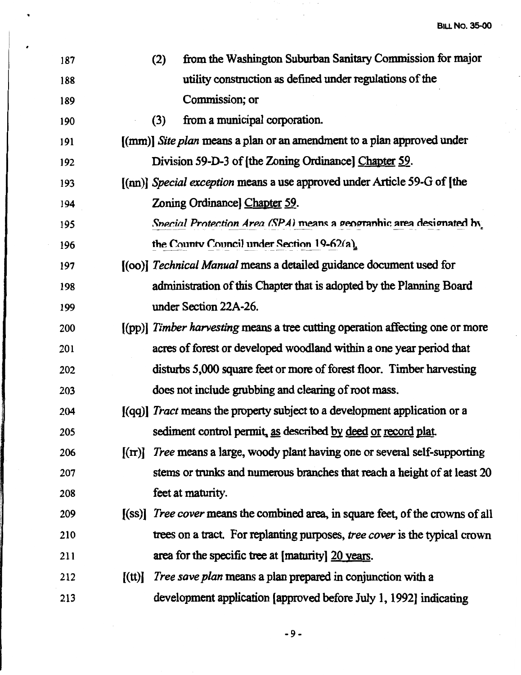$\ddot{\phantom{a}}$ 

 $\frac{1}{\sqrt{2}}$ 

| 187 | from the Washington Suburban Sanitary Commission for major<br>(2)                      |
|-----|----------------------------------------------------------------------------------------|
| 188 | utility construction as defined under regulations of the                               |
| 189 | Commission; or                                                                         |
| 190 | from a municipal corporation.<br>(3)                                                   |
| 191 | [(mm)] Site plan means a plan or an amendment to a plan approved under                 |
| 192 | Division 59-D-3 of [the Zoning Ordinance] Chapter 59.                                  |
| 193 | [(nn)] Special exception means a use approved under Article 59-G of [the               |
| 194 | Zoning Ordinance] Chapter 59.                                                          |
| 195 | Special Protection Area (SPA) means a geographic area designated by                    |
| 196 | the County Council under Section 19-62(a).                                             |
| 197 | [(00)] Technical Manual means a detailed guidance document used for                    |
| 198 | administration of this Chapter that is adopted by the Planning Board                   |
| 199 | under Section 22A-26.                                                                  |
| 200 | [(pp)] Timber harvesting means a tree cutting operation affecting one or more          |
| 201 | acres of forest or developed woodland within a one year period that                    |
| 202 | disturbs 5,000 square feet or more of forest floor. Timber harvesting                  |
| 203 | does not include grubbing and clearing of root mass.                                   |
| 204 | [(qq)] Tract means the property subject to a development application or a              |
| 205 | sediment control permit, as described by deed or record plat.                          |
| 206 | Tree means a large, woody plant having one or several self-supporting<br>$[(\pi)]$     |
| 207 | stems or trunks and numerous branches that reach a height of at least 20               |
| 208 | feet at maturity.                                                                      |
| 209 | [(ss)] <i>Tree cover</i> means the combined area, in square feet, of the crowns of all |
| 210 | trees on a tract. For replanting purposes, tree cover is the typical crown             |
| 211 | area for the specific tree at [maturity] 20 years.                                     |
| 212 | <i>Tree save plan</i> means a plan prepared in conjunction with a<br>[(tt)]            |
| 213 | development application [approved before July 1, 1992] indicating                      |
|     |                                                                                        |

 $\bar{\mathcal{A}}$ 

 $\ddot{\phantom{0}}$ 

 $\overline{\phantom{a}}$ 

-9-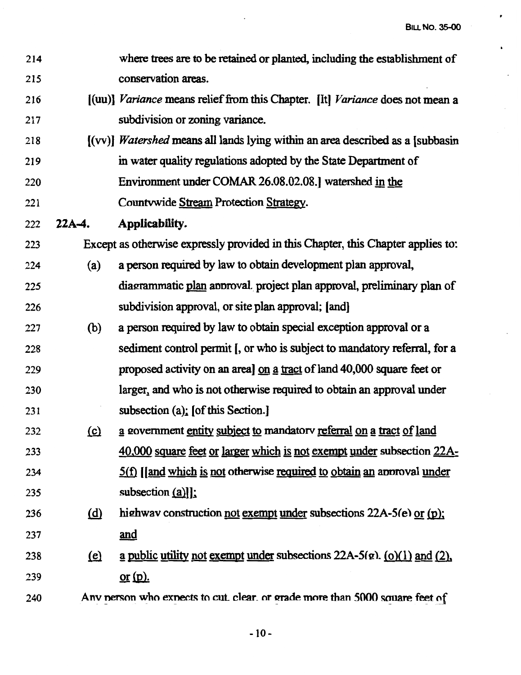è

| 214 |                           | where trees are to be retained or planted, including the establishment of                      |
|-----|---------------------------|------------------------------------------------------------------------------------------------|
| 215 |                           | conservation areas.                                                                            |
| 216 |                           | [(uu)] Variance means relief from this Chapter. [It] Variance does not mean a                  |
| 217 |                           | subdivision or zoning variance.                                                                |
| 218 |                           | $[({\rm vv})]$ <i>Watershed</i> means all lands lying within an area described as a [subbasin] |
| 219 |                           | in water quality regulations adopted by the State Department of                                |
| 220 |                           | Environment under COMAR 26.08.02.08.] watershed in the                                         |
| 221 |                           | Countywide Stream Protection Strategy.                                                         |
| 222 | $22A-4.$                  | Applicability.                                                                                 |
| 223 |                           | Except as otherwise expressly provided in this Chapter, this Chapter applies to:               |
| 224 | (a)                       | a person required by law to obtain development plan approval,                                  |
| 225 |                           | diagrammatic plan approval. project plan approval, preliminary plan of                         |
| 226 |                           | subdivision approval, or site plan approval; [and]                                             |
| 227 | (b)                       | a person required by law to obtain special exception approval or a                             |
| 228 |                           | sediment control permit [, or who is subject to mandatory referral, for a                      |
| 229 |                           | proposed activity on an area] on a tract of land 40,000 square feet or                         |
| 230 |                           | larger, and who is not otherwise required to obtain an approval under                          |
| 231 |                           | subsection (a); [of this Section.]                                                             |
| 232 | $\Omega$                  | a government entity subject to mandatory referral on a tract of land                           |
| 233 |                           | 40,000 square feet or larger which is not exempt under subsection 22A-                         |
| 234 |                           | 5(f) [[and which is not otherwise required to obtain an approval under                         |
| 235 |                           | subsection $(a)$ ]:                                                                            |
| 236 | (d)                       | highway construction <u>not exempt under</u> subsections $22A-5(e)$ or (p);                    |
| 237 |                           | <u>and</u>                                                                                     |
| 238 | $\left(\mathbf{e}\right)$ | <u>a public utility not exempt under</u> subsections $22A-5(e)$ . (o)(1) and (2),              |
| 239 |                           | $or (p)$ .                                                                                     |
| 240 |                           | Any person who expects to cut, clear, or grade more than 5000 square feet of                   |

 $\bar{\beta}$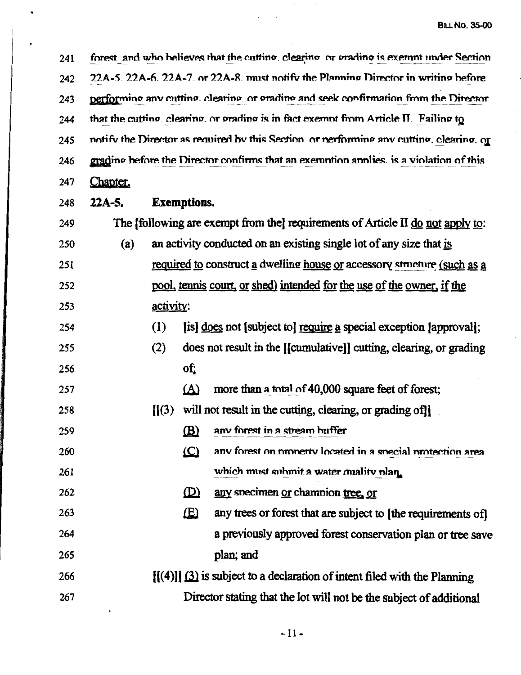forest, and who believes that the cutting, clearing or grading is exempt under Section 241 22A-5, 22A-6, 22A-7, or 22A-8, must notify the Planning Director in writing before 242 performing any cutting, clearing, or grading and seek confirmation from the Director 243 that the cutting clearing, or grading is in fact exempt from Article II. Failing to 244 notify the Director as required by this Section, or nerforming any cutting, clearing, or 245 grading before the Director confirms that an exemption applies, is a violation of this 246 247 Chapter.

 $22A-5.$ 248

249

## **Exemptions.**

The Ifollowing are exempt from the requirements of Article II do not apply to:

an activity conducted on an existing single lot of any size that is  $(a)$ 250 required to construct a dwelling house or accessory structure (such as a 251 pool, tennis court, or shed) intended for the use of the owner, if the 252 activity: 253

fisl does not fsubject tol require a special exception fapprovall:  $(1)$ 254

does not result in the [[cumulative]] cutting, clearing, or grading 255  $(2)$ of: 256

 $(A)$ more than a total of 40,000 square feet of forest: 257

- $[1(3)$  will not result in the cutting, clearing, or grading of 258
- 259  $(B)$ any forest in a stream buffer
- $(C)$ any forest on property located in a special protection area 260 which must submit a water quality plan. 261
- $(D)$ any specimen or champion tree, or 262
- $(E)$ any trees or forest that are subject to [the requirements of] 263 a previously approved forest conservation plan or tree save 264 plan; and 265
- $[f(4)]$ ] (3) is subject to a declaration of intent filed with the Planning 266 267 Director stating that the lot will not be the subject of additional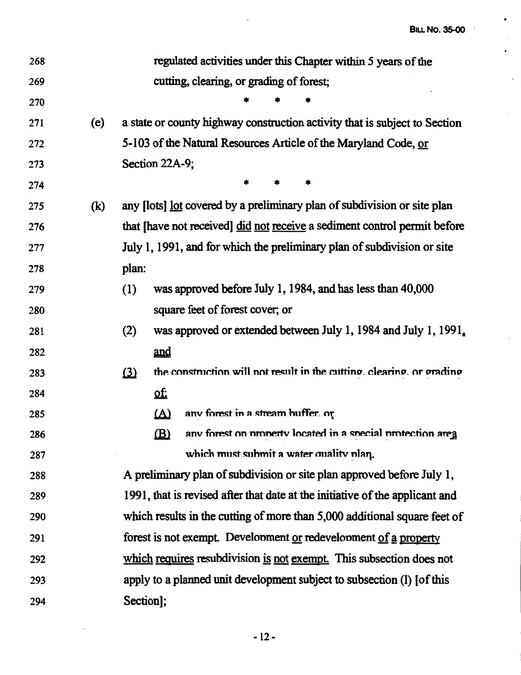**BILL No. 35-00** 

 $\cdot$ 

 $\sim$  $\bar{\bullet}$  .

 $\bar{z}$ 

 $\ddot{\phantom{0}}$ 

| 268 |     | regulated activities under this Chapter within 5 years of the                     |
|-----|-----|-----------------------------------------------------------------------------------|
| 269 |     | cutting, clearing, or grading of forest;                                          |
| 270 |     |                                                                                   |
| 271 | (e) | a state or county highway construction activity that is subject to Section        |
| 272 |     | 5-103 of the Natural Resources Article of the Maryland Code, or                   |
| 273 |     | Section 22A-9;                                                                    |
| 274 |     | *<br>*                                                                            |
| 275 | (k) | any [lots] lot covered by a preliminary plan of subdivision or site plan          |
| 276 |     | that [have not received] did not receive a sediment control permit before         |
| 277 |     | July 1, 1991, and for which the preliminary plan of subdivision or site           |
| 278 |     | plan:                                                                             |
| 279 |     | was approved before July 1, 1984, and has less than 40,000<br>(1)                 |
| 280 |     | square feet of forest cover; or                                                   |
| 281 |     | was approved or extended between July 1, 1984 and July 1, 1991,<br>(2)            |
| 282 |     | and                                                                               |
| 283 |     | the construction will not result in the cutting, clearing, or grading<br>$\Omega$ |
| 284 |     | ΣŢ                                                                                |
| 285 |     | anv forest in a stream buffer. or<br>$\Delta$                                     |
| 286 |     | $\mathbf{B}$<br>anv forest on property located in a special protection area       |
| 287 |     | which must submit a water quality plan.                                           |
| 288 |     | A preliminary plan of subdivision or site plan approved before July 1,            |
| 289 |     | 1991, that is revised after that date at the initiative of the applicant and      |
| 290 |     | which results in the cutting of more than 5,000 additional square feet of         |
| 291 |     | forest is not exempt. Development or redevelopment of a property                  |
| 292 |     | which requires resubdivision is not exempt. This subsection does not              |
| 293 |     | apply to a planned unit development subject to subsection (1) [of this            |
| 294 |     | Section];                                                                         |

 $\omega_{\rm{max}}$ 

 $\label{eq:2.1} \frac{1}{\sqrt{2}}\left(\frac{1}{\sqrt{2}}\right)^{2} \left(\frac{1}{\sqrt{2}}\right)^{2} \left(\frac{1}{\sqrt{2}}\right)^{2} \left(\frac{1}{\sqrt{2}}\right)^{2} \left(\frac{1}{\sqrt{2}}\right)^{2} \left(\frac{1}{\sqrt{2}}\right)^{2} \left(\frac{1}{\sqrt{2}}\right)^{2} \left(\frac{1}{\sqrt{2}}\right)^{2} \left(\frac{1}{\sqrt{2}}\right)^{2} \left(\frac{1}{\sqrt{2}}\right)^{2} \left(\frac{1}{\sqrt{2}}\right)^{2} \left(\$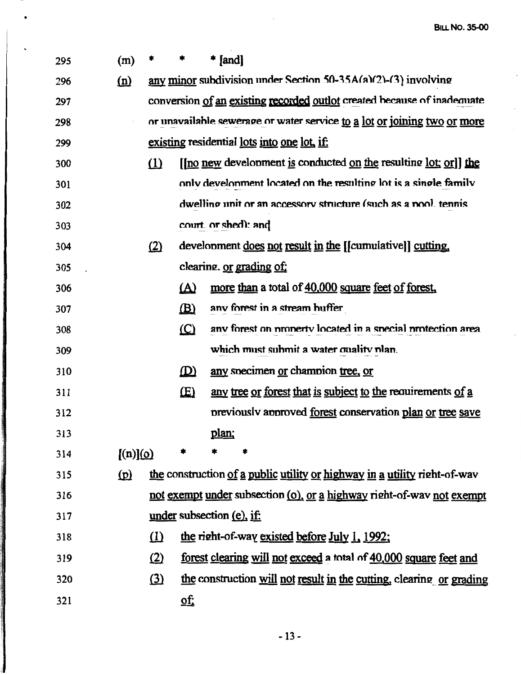$\ddot{\phantom{a}}$ 

 $\langle$ 

 $\bar{\beta}$ 

| 295 | (m)      |          |                           | $*$ [and] |                                                                           |
|-----|----------|----------|---------------------------|-----------|---------------------------------------------------------------------------|
| 296 | (n)      |          |                           |           | any minor subdivision under Section 50-35A(a)(2)-(3) involving            |
| 297 |          |          |                           |           | conversion of an existing recorded outlot created because of inadequate   |
| 298 |          |          |                           |           | or unavailable sewerage or water service to a lot or joining two or more  |
| 299 |          |          |                           |           | existing residential lots into one lot, if:                               |
| 300 |          | $\Omega$ |                           |           | [[no new development is conducted on the resulting lot; or]] the          |
| 301 |          |          |                           |           | only develonment located on the resulting lot is a single family          |
| 302 |          |          |                           |           | dwelling unit or an accessory structure (such as a nool, tennis           |
| 303 |          |          |                           |           | court or shed): and                                                       |
| 304 |          | (2)      |                           |           | development does not result in the [[cumulative]] cutting.                |
| 305 |          |          |                           |           | clearing. or grading of:                                                  |
| 306 |          |          | $\Delta$                  |           | more than a total of 40,000 square feet of forest,                        |
| 307 |          |          | $\mathbf{B}$              |           | any forest in a stream buffer                                             |
| 308 |          |          | $\Omega$                  |           | any forest on property located in a special protection area               |
| 309 |          |          |                           |           | which must submit a water quality plan.                                   |
| 310 |          |          | $\mathbf{D}$              |           | any specimen or champion tree, or                                         |
| 311 |          |          | $\mathbf{E}$              |           | any tree or forest that is subject to the requirements of a               |
| 312 |          |          |                           |           | previously approved <u>forest</u> conservation plan or tree save          |
| 313 |          |          |                           | plan;     |                                                                           |
| 314 | [(n)](0) |          |                           |           |                                                                           |
| 315 | $\Omega$ |          |                           |           | the construction of a public utility or highway in a utility right-of-way |
| 316 |          |          |                           |           | not exempt under subsection (o), or a highway right-of-way not exempt     |
| 317 |          |          | under subsection (e), if: |           |                                                                           |
| 318 |          | $\Omega$ |                           |           | the right-of-way existed before July 1, 1992;                             |
| 319 |          | (2)      |                           |           | forest clearing will not exceed a total of 40,000 square feet and         |
| 320 |          | (3)      |                           |           | the construction will not result in the cutting, clearing or grading      |
| 321 |          |          | <u>of:</u>                |           |                                                                           |

 $\mathcal{A}^{\mathcal{A}}_{\mathcal{A}}$  and  $\mathcal{A}^{\mathcal{A}}_{\mathcal{A}}$ 

 $\bullet$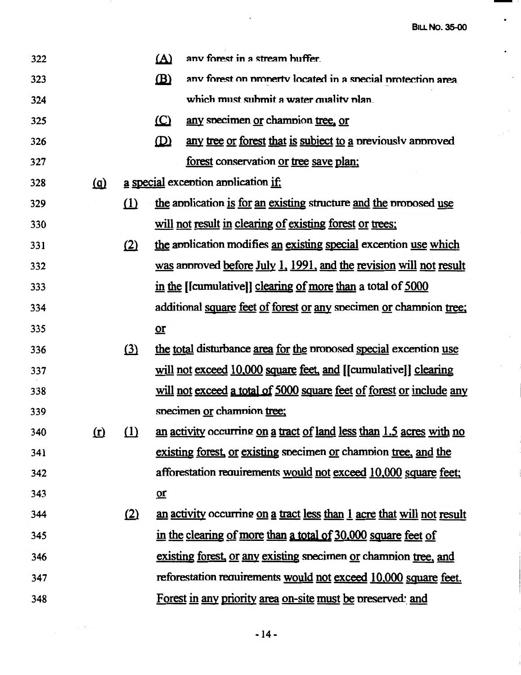**BILL NO. 35-00** 

 $\overline{\phantom{a}}$ 

 $\tilde{\phantom{a}}$ 

 $\bullet$ 

 $\bar{z}$ 

 $\sim$ 

 $\mathcal{C}^{(1)}$ 

 $\hat{\mathcal{L}}$ 

 $\overline{\phantom{a}}$ 

 $\overline{1}$ 

| 322 |            |          | <u>(A)</u>   | any forest in a stream buffer.                                             |
|-----|------------|----------|--------------|----------------------------------------------------------------------------|
| 323 |            |          | $\mathbf{B}$ | any forest on property located in a special protection area                |
| 324 |            |          |              | which must submit a water quality plan.                                    |
| 325 |            |          | $\circ$      | any specimen or champion tree, or                                          |
| 326 |            |          | $\mathbf{D}$ | any tree or forest that is subject to a previously approved                |
| 327 |            |          |              | forest conservation or tree save plan:                                     |
| 328 | <u>(a)</u> |          |              | a special exception application if:                                        |
| 329 |            | $\Omega$ |              | the application is for an existing structure and the proposed use          |
| 330 |            |          |              | will not result in clearing of existing forest or trees;                   |
| 331 |            | (2)      |              | the application modifies an existing special exception use which           |
| 332 |            |          |              | was approved before July 1, 1991, and the revision will not result         |
| 333 |            |          |              | in the [[cumulative]] clearing of more than a total of 5000                |
| 334 |            |          |              | additional square feet of forest or any specimen or champion tree;         |
| 335 |            |          | $or$         |                                                                            |
| 336 |            | (3)      |              | the total disturbance area for the proposed special exception use          |
| 337 |            |          |              | will not exceed 10,000 square feet, and [[cumulative]] clearing            |
| 338 |            |          |              | will not exceed a total of 5000 square feet of forest or include any       |
| 339 |            |          |              | specimen or champion tree;                                                 |
| 340 | $\Omega$   |          |              | $(1)$ an activity occurring on a tract of land less than 1.5 acres with no |
| 341 |            |          |              | existing forest, or existing specimen or champion tree, and the            |
| 342 |            |          |              | afforestation requirements would not exceed 10,000 square feet;            |
| 343 |            |          | $or$         |                                                                            |
| 344 |            | (2)      |              | an activity occurring on a tract less than 1 acre that will not result     |
| 345 |            |          |              | in the clearing of more than a total of 30,000 square feet of              |
| 346 |            |          |              | existing forest, or any existing specimen or champion tree, and            |
| 347 |            |          |              | reforestation requirements would not exceed 10,000 square feet.            |
| 348 |            |          |              | Forest in any priority area on-site must be preserved: and                 |

 $\sim 10^7$ 

- 14-

 $\label{eq:2} \mathcal{L}_{\text{max}} = \frac{1}{2} \sum_{i=1}^{N} \frac{1}{2} \sum_{i=1}^{N} \frac{1}{2} \sum_{i=1}^{N} \frac{1}{2} \sum_{i=1}^{N} \frac{1}{2} \sum_{i=1}^{N} \frac{1}{2} \sum_{i=1}^{N} \frac{1}{2} \sum_{i=1}^{N} \frac{1}{2} \sum_{i=1}^{N} \frac{1}{2} \sum_{i=1}^{N} \frac{1}{2} \sum_{i=1}^{N} \frac{1}{2} \sum_{i=1}^{N} \frac{1}{2} \sum_{i=1}$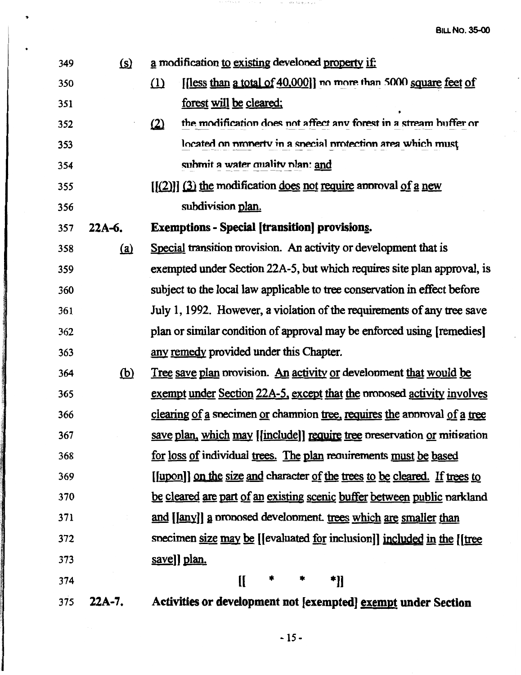**BILL NO. 35-00** 

 $\overline{a}$ 

| 349 | <u>(s)</u> | a modification to existing developed property if:                             |
|-----|------------|-------------------------------------------------------------------------------|
| 350 |            | [less than a total of 40,000]] no more than 5000 square feet of<br>(1)        |
| 351 |            | forest will be cleared;                                                       |
| 352 |            | the modification does not affect any forest in a stream buffer or<br>$\Omega$ |
| 353 |            | located on property in a special protection area which must                   |
| 354 |            | submit a water quality plan: and                                              |
| 355 |            | $[(2)]$ (3) the modification does not require approval of a new               |
| 356 |            | subdivision plan.                                                             |
| 357 | $22A-6.$   | <b>Exemptions - Special [transition] provisions.</b>                          |
| 358 | (a)        | Special transition provision. An activity or development that is              |
| 359 |            | exempted under Section 22A-5, but which requires site plan approval, is       |
| 360 |            | subject to the local law applicable to tree conservation in effect before     |
| 361 |            | July 1, 1992. However, a violation of the requirements of any tree save       |
| 362 |            | plan or similar condition of approval may be enforced using [remedies]        |
| 363 |            | any remedy provided under this Chapter.                                       |
| 364 | <u>(b)</u> | <u>Tree save plan provision. An activity or development that would be</u>     |
| 365 |            | exempt under Section 22A-5, except that the proposed activity involves        |
| 366 |            | clearing of a specimen or champion tree, requires the approval of a tree      |
| 367 |            | save plan, which may [[include]] require tree preservation or mitigation      |
| 368 |            | for loss of individual trees. The plan requirements must be based             |
| 369 |            | [[upon]] on the size and character of the trees to be cleared. If trees to    |
| 370 |            | be cleared are part of an existing scenic buffer between public parkland      |
| 371 |            | and [[any]] a proposed development. trees which are smaller than              |
| 372 |            | specimen size may be [[evaluated for inclusion]] included in the [[tree       |
| 373 |            | save]] plan.                                                                  |
| 374 |            | II<br>*]]                                                                     |
| 375 | 22A-7.     | Activities or development not [exempted] exempt under Section                 |

 $\phi_{\rm c} = \beta \delta \delta/5.1$ dei se $\alpha$ 

 $\cdot$ 

 $\bar{z}$ 

 $\ddot{\phantom{0}}$ 

 $-15 -$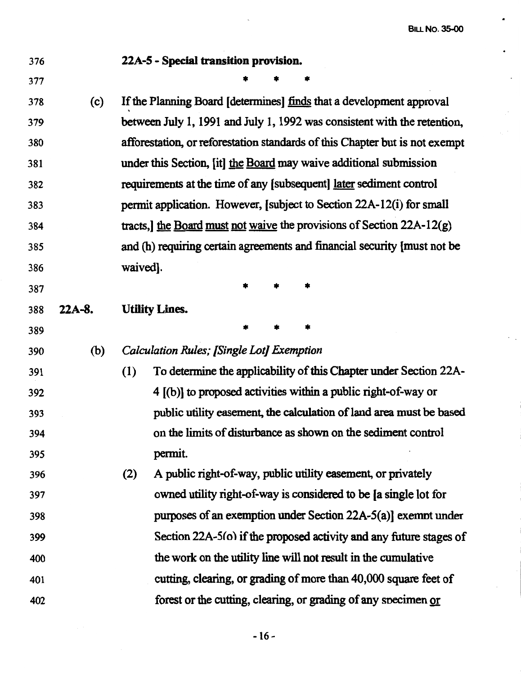#### 376 377 **22A-S** - **Special transition provision.**  \* \* \* 378 (c) If the Planning Board [determines] finds that a development approval 379 380 381 382 383 384 385 386 387 388 **22A-8.**  389 between July 1, 1991 and July 1, 1992 was consistent with the retention, afforestation, or reforestation standards of this Chapter but is not exempt under this Section, [it] the Board may waive additional submission requirements at the time of any [subsequent] later sediment control pennit application. However, [subject to Section 22A-12(i) for small tracts, the Board must not waive the provisions of Section  $22A-12(g)$ and (h) requiring certain agreements and financial security [must not be waived]. \* \* \* **Utility Lines.**  \* \* \* 390 (b) *Calculation Rules; {Single* Lot) *Exemption*  391 (1) To determine the applicability of this Chapter under Section 22A-392 393 394 395 396 397 398 399 400 401 4 [(b)] to proposed activities within a public right-of-way or public utility easement, the calculation of land area must be based on the limits of disturbance as shown on the sediment control permit. (2) A public right-of-way, public utility easement, or privately owned utility right-of-way is considered to be [a single lot for purposes of an exemption under Section 22A-5(a)] exemnt under Section 22A-5(o) if the proposed activity and any future stages of the work on the utility line will not result in the cumulative cutting, clearing, or grading of more than 40,000 square feet of

forest or the cutting, clearing, or grading of any snecimen or

402

-16-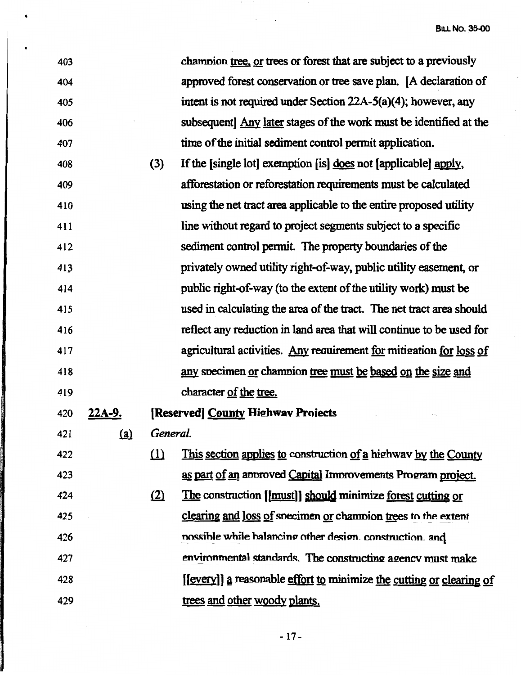$\ddot{\phantom{0}}$ 

 $\bar{\mathcal{A}}$ 

 $\mathcal{A}$ 

| 403 |               |          | champion tree, or trees or forest that are subject to a previously   |
|-----|---------------|----------|----------------------------------------------------------------------|
| 404 |               |          | approved forest conservation or tree save plan. [A declaration of    |
| 405 |               |          | intent is not required under Section $22A-5(a)(4)$ ; however, any    |
| 406 |               |          | subsequent] Any later stages of the work must be identified at the   |
| 407 |               |          | time of the initial sediment control permit application.             |
| 408 |               | (3)      | If the [single lot] exemption [is] does not [applicable] apply,      |
| 409 |               |          | afforestation or reforestation requirements must be calculated       |
| 410 |               |          | using the net tract area applicable to the entire proposed utility   |
| 411 |               |          | line without regard to project segments subject to a specific        |
| 412 |               |          | sediment control permit. The property boundaries of the              |
| 413 |               |          | privately owned utility right-of-way, public utility easement, or    |
| 414 |               |          | public right-of-way (to the extent of the utility work) must be      |
| 415 |               |          | used in calculating the area of the tract. The net tract area should |
| 416 |               |          | reflect any reduction in land area that will continue to be used for |
| 417 |               |          | agricultural activities. Any requirement for mitigation for loss of  |
| 418 |               |          | any specimen or champion tree must be based on the size and          |
| 419 |               |          | character of the tree.                                               |
| 420 | <u>22A-9.</u> |          | [Reserved] County Highwav Proiects                                   |
| 421 | (a)           | General. |                                                                      |
| 422 |               | $\Omega$ | This section applies to construction of a highway by the County      |
| 423 |               |          | as part of an annoved Capital Improvements Program project.          |
| 424 |               | (2)      | The construction [[must]] should minimize forest cutting or          |
| 425 |               |          | clearing and loss of specimen or champion trees to the extent        |
| 426 |               |          | nossible while balancing other design. construction. and             |
| 427 |               |          | environmental standards. The constructing agency must make           |
| 428 |               |          | [[every]] a reasonable effort to minimize the cutting or clearing of |
| 429 |               |          | trees and other woody plants.                                        |

 $\mathcal{A}^{\text{c}}$  and  $\mathcal{A}^{\text{c}}$ 

 $\bullet$ 

-17 -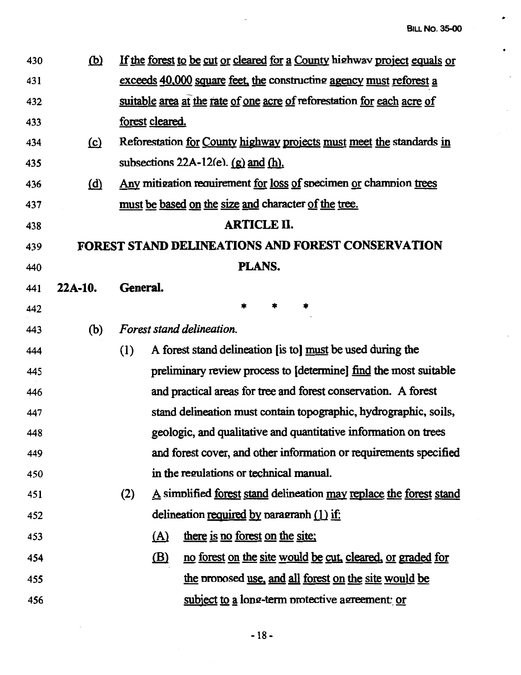$\hat{\pmb{r}}$ 

 $\bullet$ 

 $\bar{\mathcal{L}}$ 

| 430 | <u>(b)</u> | If the forest to be cut or cleared for a County highway project equals or  |
|-----|------------|----------------------------------------------------------------------------|
| 431 |            | exceeds 40,000 square feet, the constructing agency must reforest a        |
| 432 |            | suitable area at the rate of one acre of reforestation for each acre of    |
| 433 |            | forest cleared.                                                            |
| 434 | $\Omega$   | Reforestation for County highway projects must meet the standards in       |
| 435 |            | subsections 22A-12(e). $(g)$ and $(h)$ .                                   |
| 436 | (d)        | Any mitigation requirement for loss of specimen or champion trees          |
| 437 |            | must be based on the size and character of the tree.                       |
| 438 |            | <b>ARTICLE II.</b>                                                         |
| 439 |            | <b>FOREST STAND DELINEATIONS AND FOREST CONSERVATION</b>                   |
| 440 |            | PLANS.                                                                     |
| 441 | $22A-10.$  | General.                                                                   |
| 442 |            | *                                                                          |
| 443 | (b)        | Forest stand delineation.                                                  |
| 444 |            | A forest stand delineation [is to] must be used during the<br>(1)          |
| 445 |            | preliminary review process to [determine] find the most suitable           |
| 446 |            | and practical areas for tree and forest conservation. A forest             |
| 447 |            | stand delineation must contain topographic, hydrographic, soils,           |
| 448 |            | geologic, and qualitative and quantitative information on trees            |
| 449 |            | and forest cover, and other information or requirements specified          |
| 450 |            | in the regulations or technical manual.                                    |
| 451 |            | A simplified forest stand delineation may replace the forest stand<br>(2)  |
| 452 |            | delineation required by paragraph $(1)$ if:                                |
| 453 |            | there is no forest on the site:<br>(A)                                     |
| 454 |            | $\mathbf{B}$<br>no forest on the site would be cut, cleared, or graded for |
| 455 |            | the proposed use, and all forest on the site would be                      |
| 456 |            | subject to a long-term protective agreement: or                            |

 $\ddot{\phantom{a}}$ 

 $\mathcal{L}^{\text{max}}_{\text{max}}$  , where  $\mathcal{L}^{\text{max}}_{\text{max}}$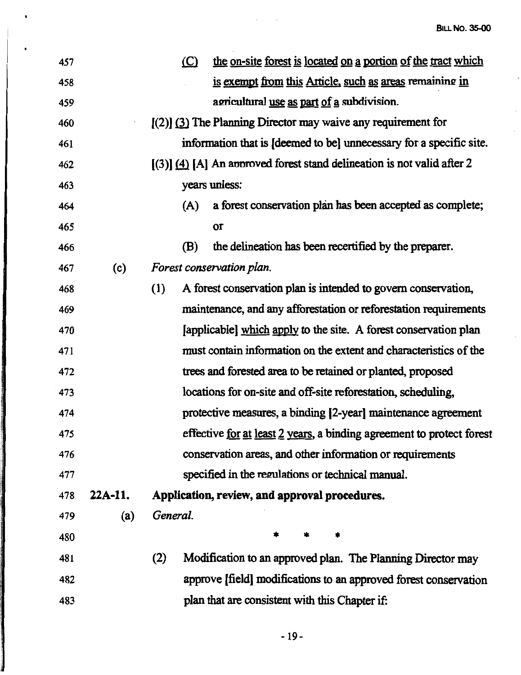$\ddot{\cdot}$ 

 $\hat{\mathcal{A}}$ 

 $\mathcal{L}_{\mathcal{A}}$ 

| 457 |           | $\circ$  | the on-site forest is located on a portion of the tract which           |
|-----|-----------|----------|-------------------------------------------------------------------------|
| 458 |           |          | is exempt from this Article, such as areas remaining in                 |
| 459 |           |          | agricultural use as part of a subdivision.                              |
| 460 |           |          | $(2)$ (3) The Planning Director may waive any requirement for           |
| 461 |           |          | information that is [deemed to be] unnecessary for a specific site.     |
| 462 |           |          | $(3)$ (4) [A] An approved forest stand delineation is not valid after 2 |
| 463 |           |          | years unless:                                                           |
| 464 |           | (A)      | a forest conservation plan has been accepted as complete;               |
| 465 |           |          | or                                                                      |
| 466 |           | (B)      | the delineation has been recertified by the preparer.                   |
| 467 | (c)       |          | Forest conservation plan.                                               |
| 468 |           | (1)      | A forest conservation plan is intended to govern conservation,          |
| 469 |           |          | maintenance, and any afforestation or reforestation requirements        |
| 470 |           |          | [applicable] which apply to the site. A forest conservation plan        |
| 471 |           |          | must contain information on the extent and characteristics of the       |
| 472 |           |          | trees and forested area to be retained or planted, proposed             |
| 473 |           |          | locations for on-site and off-site reforestation, scheduling,           |
| 474 |           |          | protective measures, a binding [2-year] maintenance agreement           |
| 475 |           |          | effective for at least 2 years, a binding agreement to protect forest   |
| 476 |           |          | conservation areas, and other information or requirements               |
| 477 |           |          | specified in the regulations or technical manual.                       |
| 478 | $22A-11.$ |          | Application, review, and approval procedures.                           |
| 479 | (a)       | General. |                                                                         |
| 480 |           |          | *                                                                       |
| 481 |           | (2)      | Modification to an approved plan. The Planning Director may             |
| 482 |           |          | approve [field] modifications to an approved forest conservation        |
| 483 |           |          | plan that are consistent with this Chapter if:                          |
|     |           |          |                                                                         |

 $\mathcal{A}^{\mathcal{A}}$  and  $\mathcal{A}^{\mathcal{A}}$ 

 $\bullet$ 

 $\ddot{\phantom{0}}$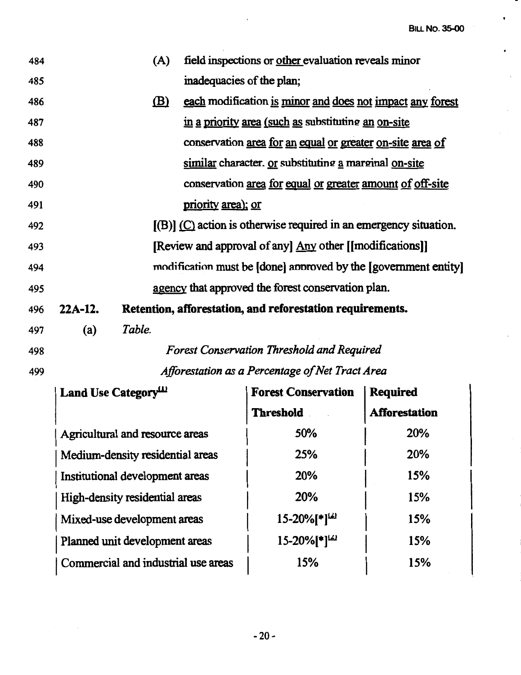**BILL No. 35-00** 

•

 $\bullet$ 

 $\bullet$ 

 $\sim$ 

 $\bar{\mathcal{A}}$ 

| 484 |           | (A)                                 |                           | field inspections or other evaluation reveals minor                 |                      |
|-----|-----------|-------------------------------------|---------------------------|---------------------------------------------------------------------|----------------------|
| 485 |           |                                     | inadequacies of the plan; |                                                                     |                      |
| 486 |           | (B)                                 |                           | each modification is minor and does not impact any forest           |                      |
| 487 |           |                                     |                           | in a priority area (such as substituting an on-site                 |                      |
| 488 |           |                                     |                           | conservation area for an equal or greater on-site area of           |                      |
| 489 |           |                                     |                           | similar character. Or substituting a marginal on-site               |                      |
| 490 |           |                                     |                           | conservation area for equal or greater amount of off-site           |                      |
| 491 |           |                                     | priority area); or        |                                                                     |                      |
| 492 |           |                                     |                           | $[(B)]$ (C) action is otherwise required in an emergency situation. |                      |
| 493 |           |                                     |                           | [Review and approval of any] Any other [[modifications]]            |                      |
| 494 |           |                                     |                           | modification must be [done] approved by the [government entity]     |                      |
| 495 |           |                                     |                           | agency that approved the forest conservation plan.                  |                      |
| 496 | $22A-12.$ |                                     |                           | Retention, afforestation, and reforestation requirements.           |                      |
| 497 | (a)       | Table.                              |                           |                                                                     |                      |
| 498 |           |                                     |                           | <b>Forest Conservation Threshold and Required</b>                   |                      |
| 499 |           |                                     |                           | Afforestation as a Percentage of Net Tract Area                     |                      |
|     |           | Land Use Category <sup>111</sup>    |                           | <b>Forest Conservation</b>                                          | <b>Required</b>      |
|     |           |                                     |                           | <b>Threshold</b>                                                    | <b>Afforestation</b> |
|     |           | Agricultural and resource areas     |                           | 50%                                                                 | 20%                  |
|     |           | Medium-density residential areas    |                           | 25%                                                                 | 20%                  |
|     |           | Institutional development areas     |                           | 20%                                                                 | 15%                  |
|     |           | High-density residential areas      |                           | 20%                                                                 | 15%                  |
|     |           | Mixed-use development areas         |                           | $15 - 20%$ [*] <sup>(2)</sup>                                       | 15%                  |
|     |           | Planned unit development areas      |                           | $15 - 20%$ [*] <sup>(2)</sup>                                       | 15%                  |
|     |           | Commercial and industrial use areas |                           | 15%                                                                 | 15%                  |
|     |           |                                     |                           |                                                                     |                      |

 $\sim$   $\epsilon$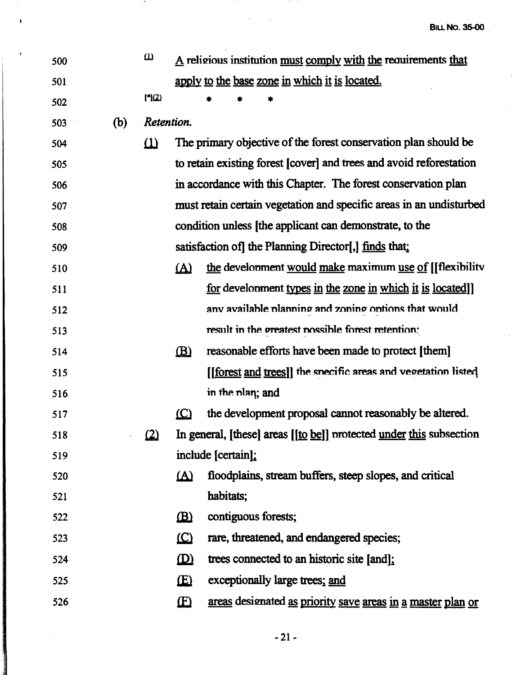| 500 |     | $\omega$     |              |                    | A religious institution must comply with the requirements that           |
|-----|-----|--------------|--------------|--------------------|--------------------------------------------------------------------------|
| 501 |     |              |              |                    | apply to the base zone in which it is located.                           |
| 502 |     | $[$ *) $(2)$ |              |                    |                                                                          |
| 503 | (b) | Retention.   |              |                    |                                                                          |
| 504 |     | $\Omega$     |              |                    | The primary objective of the forest conservation plan should be          |
| 505 |     |              |              |                    | to retain existing forest [cover] and trees and avoid reforestation      |
| 506 |     |              |              |                    | in accordance with this Chapter. The forest conservation plan            |
| 507 |     |              |              |                    | must retain certain vegetation and specific areas in an undisturbed      |
| 508 |     |              |              |                    | condition unless [the applicant can demonstrate, to the                  |
| 509 |     |              |              |                    | satisfaction of the Planning Director[,] $\overline{\text{finds}}$ that: |
| 510 |     |              | $\Delta$     |                    | the development would make maximum use of [[flexibility                  |
| 511 |     |              |              |                    | <u>for</u> development types in the zone in which it is located]         |
| 512 |     |              |              |                    | any available planning and zoning options that would                     |
| 513 |     |              |              |                    | result in the greatest possible forest retention:                        |
| 514 |     |              | $\mathbf{B}$ |                    | reasonable efforts have been made to protect [them]                      |
| 515 |     |              |              |                    | [[forest and trees]] the specific areas and vegetation listed            |
| 516 |     |              |              | in the plan; and   |                                                                          |
| 517 |     |              | (C)          |                    | the development proposal cannot reasonably be altered.                   |
| 518 |     | $\Omega$     |              |                    | In general, [these] areas [[to be]] protected under this subsection      |
| 519 |     |              |              | include [certain]: |                                                                          |
| 520 |     |              | <u>(A)</u>   |                    | floodplains, stream buffers, steep slopes, and critical                  |
| 521 |     |              |              | habitats;          |                                                                          |
| 522 |     |              | $\mathbf{B}$ |                    | contiguous forests;                                                      |
| 523 |     |              | $\Omega$     |                    | rare, threatened, and endangered species;                                |
| 524 |     |              | $\mathbf{D}$ |                    | trees connected to an historic site [and];                               |
| 525 |     |              | <b>E</b>     |                    | exceptionally large trees; and                                           |
| 526 |     |              | $\mathbf{E}$ |                    | areas designated as priority save areas in a master plan or              |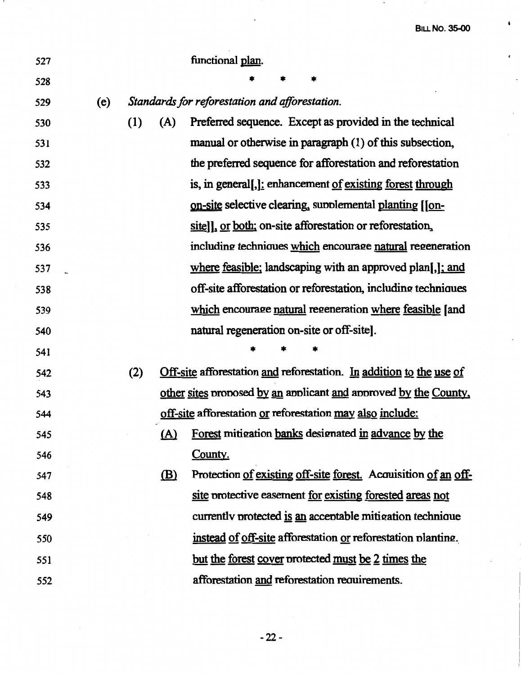$\hat{\mathbf{r}}$ 

 $\ddot{\phantom{0}}$ 

 $\frac{1}{2}$ 

 $\ddot{\phantom{0}}$ 

 $\overline{\phantom{a}}$ 

| 527 |     |     |              | functional plan.                                                    |
|-----|-----|-----|--------------|---------------------------------------------------------------------|
| 528 |     |     |              |                                                                     |
| 529 | (e) |     |              | Standards for reforestation and afforestation.                      |
| 530 |     | (1) | (A)          | Preferred sequence. Except as provided in the technical             |
| 531 |     |     |              | manual or otherwise in paragraph (1) of this subsection,            |
| 532 |     |     |              | the preferred sequence for afforestation and reforestation          |
| 533 |     |     |              | is, in general[,]: enhancement of existing forest through           |
| 534 |     |     |              | on-site selective clearing, supplemental planting [[on-             |
| 535 |     |     |              | sitell, or both; on-site afforestation or reforestation,            |
| 536 |     |     |              | including techniques which encourage natural regeneration           |
| 537 |     |     |              | where feasible; landscaping with an approved plan[,]; and           |
| 538 |     |     |              | off-site afforestation or reforestation, including techniques       |
| 539 |     |     |              | which encourage natural regeneration where feasible [and            |
| 540 |     |     |              | natural regeneration on-site or off-site].                          |
| 541 |     |     |              |                                                                     |
| 542 |     | (2) |              | Off-site afforestation and reforestation. In addition to the use of |
| 543 |     |     |              | other sites proposed by an applicant and approved by the County.    |
| 544 |     |     |              | off-site afforestation or reforestation may also include:           |
| 545 |     |     |              | (A) Forest mitigation banks designated in advance by the            |
| 546 |     |     |              | County.                                                             |
| 547 |     |     | $\mathbf{B}$ | Protection of existing off-site forest. Acquisition of an off-      |
| 548 |     |     |              | site protective easement for existing forested areas not            |
| 549 |     |     |              | currently protected is an acceptable mitigation technique           |
| 550 |     |     |              | instead of off-site afforestation or reforestation planting.        |
| 551 |     |     |              | <u>but the forest cover</u> protected <u>must be 2 times the</u>    |
| 552 |     |     |              | afforestation and reforestation requirements.                       |

 $\mathcal{L}^{\mathcal{L}}$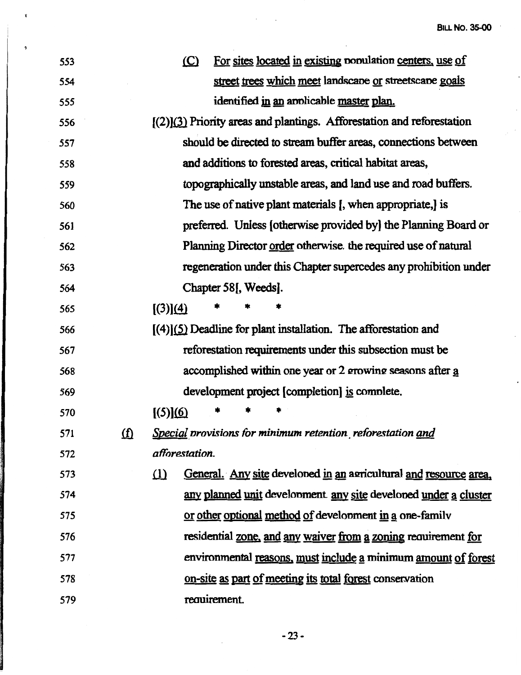$\cdot$ 

 $\hat{\mathcal{A}}$ 

 $\bar{\beta}$ 

| 553 |            | For sites located in existing population centers, use of<br>$\circ$           |
|-----|------------|-------------------------------------------------------------------------------|
| 554 |            | street trees which meet landscape or streetscape goals                        |
| 555 |            | identified in an applicable master plan.                                      |
| 556 |            | $[(2)]$ (3) Priority areas and plantings. Afforestation and reforestation     |
| 557 |            | should be directed to stream buffer areas, connections between                |
| 558 |            | and additions to forested areas, critical habitat areas,                      |
| 559 |            | topographically unstable areas, and land use and road buffers.                |
| 560 |            | The use of native plant materials [, when appropriate,] is                    |
| 561 |            | preferred. Unless [otherwise provided by] the Planning Board or               |
| 562 |            | Planning Director order otherwise. the required use of natural                |
| 563 |            | regeneration under this Chapter supercedes any prohibition under              |
| 564 |            | Chapter 58, Weeds.                                                            |
| 565 |            | [(3)](4)                                                                      |
| 566 |            | $(4)(5)$ Deadline for plant installation. The afforestation and               |
| 567 |            | reforestation requirements under this subsection must be                      |
| 568 |            | accomplished within one year or 2 growing seasons after a                     |
| 569 |            | development project [completion] is complete.                                 |
| 570 |            | [(5)](6)                                                                      |
| 571 | <u>(f)</u> | Special provisions for minimum retention reforestation and                    |
| 572 |            | afforestation.                                                                |
| 573 |            | General. Any site develoned in an agricultural and resource area.<br>$\Omega$ |
| 574 |            | any planned unit development any site developed under a cluster               |
| 575 |            | or other optional method of development in a one-family                       |
| 576 |            | residential zone, and any waiver from a zoning requirement for                |
| 577 |            | environmental reasons, must include a minimum amount of forest                |
| 578 |            | on-site as part of meeting its total forest conservation                      |
| 579 |            | requirement.                                                                  |

 $\lambda_{\rm{max}}$ 

 $\mathbf{r}$ 

 $\overline{\phantom{a}}$ 

-23-

 $\mathcal{L}_{\mathcal{A}}$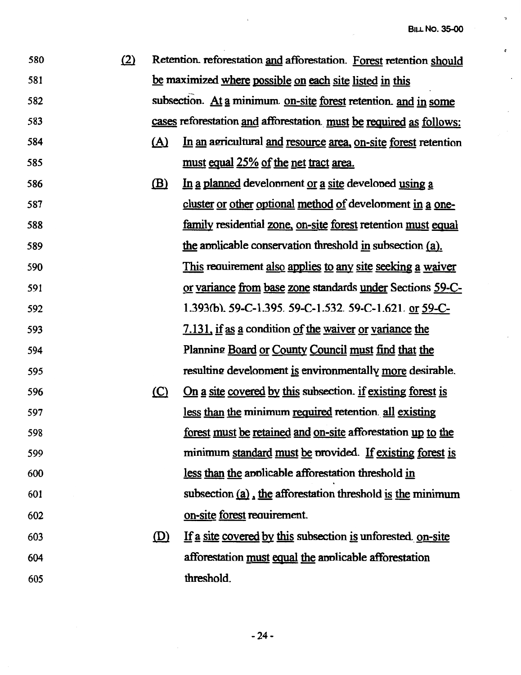$\bar{\bf 3}$ 

 $\pmb{\epsilon}$ 

 $\ddot{\phantom{0}}$ 

 $\hat{\boldsymbol{\cdot}$ 

l,

| 580 | (2) |            | Retention. reforestation and afforestation. Forest retention should |
|-----|-----|------------|---------------------------------------------------------------------|
| 581 |     |            | be maximized where possible on each site listed in this             |
| 582 |     |            | subsection. At a minimum on-site forest retention. and in some      |
| 583 |     |            | cases reforestation and afforestation must be required as follows:  |
| 584 |     | <u>(A)</u> | In an agricultural and resource area, on-site forest retention      |
| 585 |     |            | must equal 25% of the net tract area.                               |
| 586 |     | (B)        | In a planned development or a site developed using a                |
| 587 |     |            | cluster or other optional method of development in a one-           |
| 588 |     |            | family residential zone, on-site forest retention must equal        |
| 589 |     |            | the applicable conservation threshold in subsection (a).            |
| 590 |     |            | This requirement also applies to any site seeking a waiver          |
| 591 |     |            | or variance from base zone standards under Sections 59-C-           |
| 592 |     |            | 1.393(b). 59-C-1.395. 59-C-1.532. 59-C-1.621. or 59-C-              |
| 593 |     |            | 7.131, if as a condition of the waiver or variance the              |
| 594 |     |            | Planning Board or County Council must find that the                 |
| 595 |     |            | resulting development is environmentally more desirable.            |
| 596 |     | $\circ$    | On a site covered by this subsection. if existing forest is         |
| 597 |     |            | less than the minimum required retention all existing               |
| 598 |     |            | forest must be retained and on-site afforestation up to the         |
| 599 |     |            | minimum standard must be provided. If existing forest is            |
| 600 |     |            | less than the applicable afforestation threshold in                 |
| 601 |     |            | subsection (a), the afforestation threshold is the minimum          |
| 602 |     |            | on-site forest requirement.                                         |
| 603 |     | (D)        | If a site covered by this subsection is unforested on-site          |
| 604 |     |            | afforestation must equal the applicable afforestation               |
| 605 |     |            | threshold.                                                          |

 $\ddot{\phantom{a}}$ 

-24-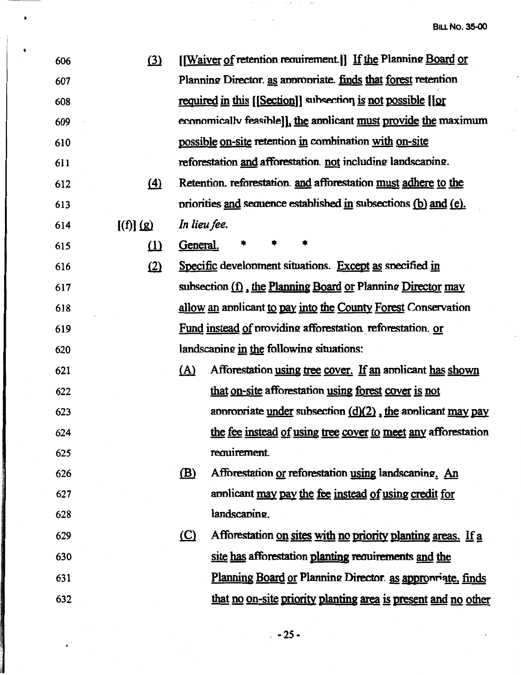$\ddot{\phantom{a}}$ 

 $\hat{\mathcal{A}}$ 

 $\hat{\mathcal{A}}$ 

| 606 | (3)       |              | [[Waiver of retention requirement.]] If the Planning Board or   |
|-----|-----------|--------------|-----------------------------------------------------------------|
| 607 |           |              | Planning Director. as appropriate. finds that forest retention  |
| 608 |           |              | required in this [[Section]] subsection is not possible [[or    |
| 609 |           |              | economically feasible]], the applicant must provide the maximum |
| 610 |           |              | possible on-site retention in combination with on-site          |
| 611 |           |              | reforestation and afforestation not including landscaping.      |
| 612 | $\Delta$  |              | Retention. reforestation and afforestation must adhere to the   |
| 613 |           |              | priorities and sequence established in subsections (b) and (e). |
| 614 | [(f)] (g) | In lieu fee. |                                                                 |
| 615 | $\Omega$  | General.     |                                                                 |
| 616 | (2)       |              | Specific development situations. Except as specified in         |
| 617 |           |              | subsection (f), the Planning Board or Planning Director may     |
| 618 |           |              | allow an applicant to pay into the County Forest Conservation   |
| 619 |           |              | Fund instead of providing afforestation reforestation or        |
| 620 |           |              | landscaping in the following situations:                        |
| 621 |           | <u>(A)</u>   | Afforestation using tree cover. If an applicant has shown       |
| 622 |           |              | that on-site afforestation using forest cover is not            |
| 623 |           |              | appropriate under subsection $(d)(2)$ , the applicant may pay   |
| 624 |           |              | the fee instead of using tree cover to meet any afforestation   |
| 625 |           |              | requirement.                                                    |
| 626 |           | (B)          | Afforestation or reforestation using landscaping. An            |
| 627 |           |              | applicant may pay the fee instead of using credit for           |
| 628 |           |              | landscaping.                                                    |
| 629 |           | $\circ$      | Afforestation on sites with no priority planting areas. If a    |
| 630 |           |              | site has afforestation planting requirements and the            |
| 631 |           |              | Planning Board or Planning Director. as appropriate, finds      |
| 632 |           |              | that no on-site priority planting area is present and no other  |

 $\theta_{\rm{eff}}$  and  $\theta_{\rm{eff}}$  are also becomes the first space of  $\theta_{\rm{eff}}$ 

 $\Delta \phi = \Delta \phi / \phi$ 

•

 $\ddot{\phantom{0}}$ 

 $\bullet$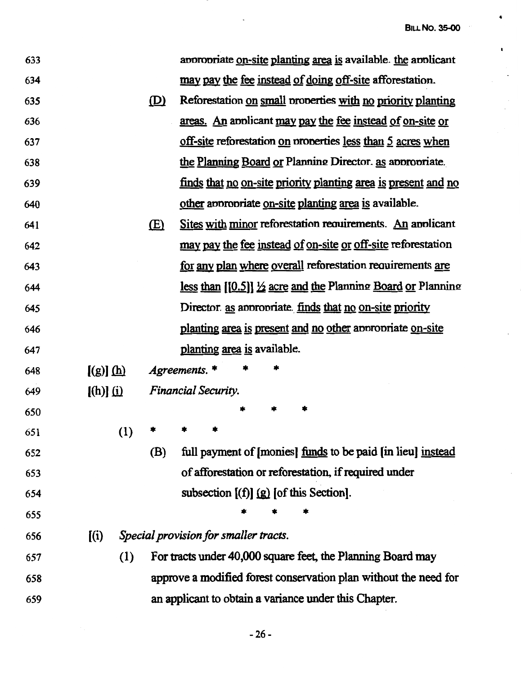$\bullet$ 

 $\bullet$ 

 $\ddot{\phantom{0}}$ 

 $\ddot{\phantom{a}}$ 

 $\bar{z}$ 

| 633 |               |     |              | appropriate on-site planting area is available. the applicant           |
|-----|---------------|-----|--------------|-------------------------------------------------------------------------|
| 634 |               |     |              | may pay the fee instead of doing off-site afforestation.                |
| 635 |               |     | $\mathbf{D}$ | Reforestation on small properties with no priority planting             |
| 636 |               |     |              | areas. An applicant may pay the fee instead of on-site or               |
| 637 |               |     |              | off-site reforestation on properties less than 5 acres when             |
| 638 |               |     |              | the Planning Board or Planning Director. as appropriate.                |
| 639 |               |     |              | finds that no on-site priority planting area is present and no          |
| 640 |               |     |              | other appropriate on-site planting area is available.                   |
| 641 |               |     | E(           | Sites with minor reforestation requirements. An applicant               |
| 642 |               |     |              | may pay the fee instead of on-site or off-site reforestation            |
| 643 |               |     |              | for any plan where overall reforestation requirements are               |
| 644 |               |     |              | less than $[0.5]$ $\frac{1}{2}$ acre and the Planning Board or Planning |
| 645 |               |     |              | Director. as appropriate. finds that no on-site priority                |
| 646 |               |     |              | planting area is present and no other appropriate on-site               |
| 647 |               |     |              | planting area is available.                                             |
| 648 | $[(g)]$ $(h)$ |     |              | Agreements. *                                                           |
| 649 | $[(h)]$ $(i)$ |     |              | <b>Financial Security.</b>                                              |
| 650 |               |     |              |                                                                         |
| 651 |               | (1) |              |                                                                         |
| 652 |               |     | (B)          | full payment of [monies] funds to be paid [in lieu] instead             |
| 653 |               |     |              | of afforestation or reforestation, if required under                    |
| 654 |               |     |              | subsection $[(f)]$ $(g)$ [of this Section].                             |
| 655 |               |     |              |                                                                         |
| 656 | (i)           |     |              | Special provision for smaller tracts.                                   |
| 657 |               | (1) |              | For tracts under 40,000 square feet, the Planning Board may             |
| 658 |               |     |              | approve a modified forest conservation plan without the need for        |
| 659 |               |     |              | an applicant to obtain a variance under this Chapter.                   |

 $\mathbb{R}^2$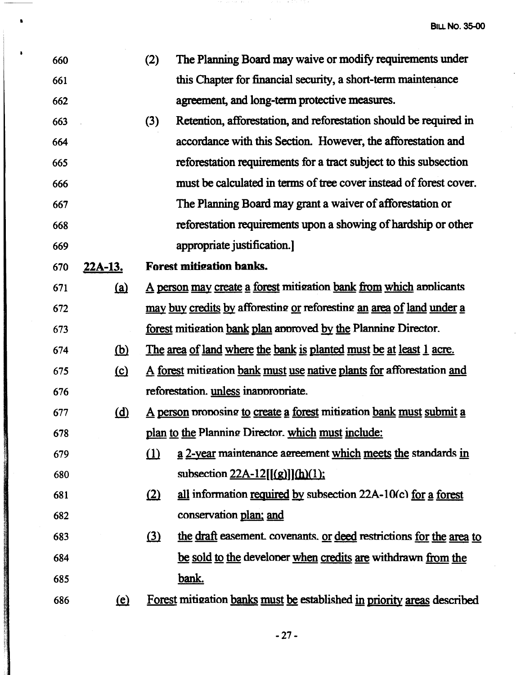| 660 |                | (2)      | The Planning Board may waive or modify requirements under               |
|-----|----------------|----------|-------------------------------------------------------------------------|
| 661 |                |          | this Chapter for financial security, a short-term maintenance           |
| 662 |                |          | agreement, and long-term protective measures.                           |
| 663 |                | (3)      | Retention, afforestation, and reforestation should be required in       |
| 664 |                |          | accordance with this Section. However, the afforestation and            |
| 665 |                |          | reforestation requirements for a tract subject to this subsection       |
| 666 |                |          | must be calculated in terms of tree cover instead of forest cover.      |
| 667 |                |          | The Planning Board may grant a waiver of afforestation or               |
| 668 |                |          | reforestation requirements upon a showing of hardship or other          |
| 669 |                |          | appropriate justification.                                              |
| 670 | <u>22A-13.</u> |          | <b>Forest mitigation banks.</b>                                         |
| 671 | <u>(a)</u>     |          | A person may create a forest mitigation bank from which applicants      |
| 672 |                |          | may buy credits by afforesting or reforesting an area of land under a   |
| 673 |                |          | forest mitigation bank plan approved by the Planning Director.          |
| 674 | <u>(b)</u>     |          | The area of land where the bank is planted must be at least 1 acre.     |
| 675 | $\Omega$       |          | A forest mitigation bank must use native plants for afforestation and   |
| 676 |                |          | reforestation. unless inappropriate.                                    |
| 677 | $\overline{d}$ |          | A person proposing to create a forest mitigation bank must submit a     |
| 678 |                |          | plan to the Planning Director. which must include:                      |
| 679 |                | (1)      | a 2-year maintenance agreement which meets the standards in             |
| 680 |                |          | subsection $22A-12[(g)](h)(1)$ :                                        |
| 681 |                | (2)      | all information required by subsection 22A-10(c) for a forest           |
| 682 |                |          | conservation plan; and                                                  |
| 683 |                | $\Omega$ | the draft easement. covenants. or deed restrictions for the area to     |
| 684 |                |          | be sold to the developer when credits are withdrawn from the            |
| 685 |                |          | <u>bank.</u>                                                            |
| 686 | <u>(e)</u>     |          | Forest mitigation banks must be established in priority areas described |

I

{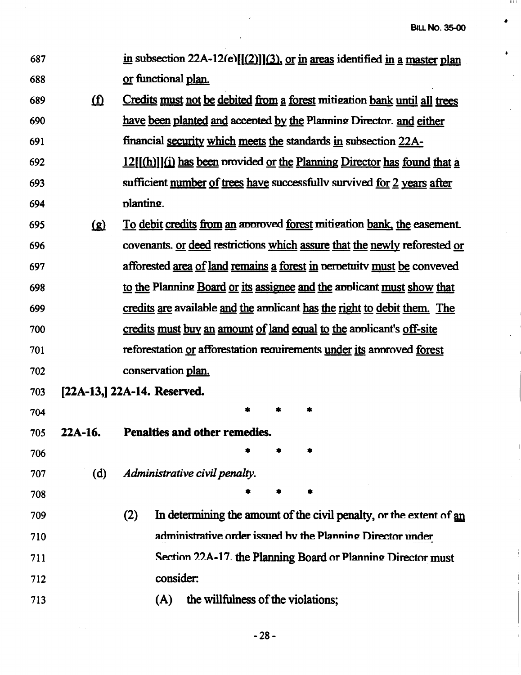1111

•

 $\bullet$ 

t,

| 687 |                             | in subsection 22A-12(e) $[(2)](3)$ , or in areas identified in a master plan                  |  |  |
|-----|-----------------------------|-----------------------------------------------------------------------------------------------|--|--|
| 688 |                             | or functional plan.                                                                           |  |  |
| 689 | $\Omega$                    | Credits must not be debited from a forest mitigation bank until all trees                     |  |  |
| 690 |                             | have been planted and accepted by the Planning Director. and either                           |  |  |
| 691 |                             | financial security which meets the standards in subsection 22A-                               |  |  |
| 692 |                             | $12[[(h)]](i)$ has been provided or the Planning Director has found that a                    |  |  |
| 693 |                             | sufficient number of trees have successfully survived for 2 years after                       |  |  |
| 694 |                             | planting.                                                                                     |  |  |
| 695 | $\Omega$                    | <u>To debit credits from an</u> approved <u>forest</u> mitigation <u>bank</u> , the easement. |  |  |
| 696 |                             | covenants. or deed restrictions which assure that the newly reforested or                     |  |  |
| 697 |                             | afforested <u>area of land remains a forest in</u> perpetuity must be conveved                |  |  |
| 698 |                             | to the Planning Board or its assignee and the applicant must show that                        |  |  |
| 699 |                             | credits are available and the applicant has the right to debit them. The                      |  |  |
| 700 |                             | credits must buy an amount of land equal to the applicant's off-site                          |  |  |
| 701 |                             | reforestation or afforestation requirements under its approved forest                         |  |  |
| 702 |                             | conservation plan.                                                                            |  |  |
| 703 | [22A-13,] 22A-14. Reserved. |                                                                                               |  |  |
| 704 |                             |                                                                                               |  |  |
| 705 | 22A-16.                     | Penalties and other remedies.                                                                 |  |  |
| 706 |                             |                                                                                               |  |  |
| 707 | (d)                         | Administrative civil penalty.                                                                 |  |  |
| 708 |                             |                                                                                               |  |  |
| 709 |                             | In determining the amount of the civil penalty, or the extent of an<br>(2)                    |  |  |
| 710 |                             | administrative order issued by the Planning Director under                                    |  |  |
| 711 |                             | Section 22A-17 the Planning Board or Planning Director must                                   |  |  |
| 712 |                             | consider:                                                                                     |  |  |
| 713 |                             | the willfulness of the violations;<br>(A)                                                     |  |  |
|     |                             |                                                                                               |  |  |

-28-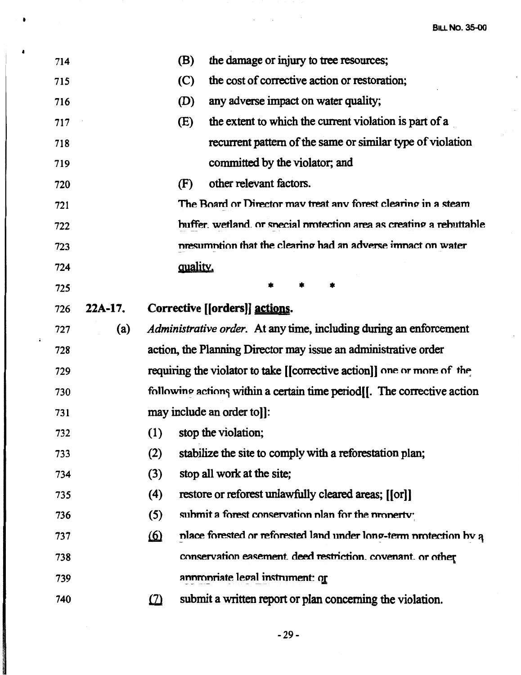$\ddot{\phantom{a}}$ 

| 714 |          | <b>(B)</b> | the damage or injury to tree resources;                                 |  |
|-----|----------|------------|-------------------------------------------------------------------------|--|
| 715 |          | (C)        | the cost of corrective action or restoration;                           |  |
| 716 |          | (D)        | any adverse impact on water quality;                                    |  |
| 717 |          | (E)        | the extent to which the current violation is part of a                  |  |
| 718 |          |            | recurrent pattern of the same or similar type of violation              |  |
| 719 |          |            | committed by the violator; and                                          |  |
| 720 |          | (F)        | other relevant factors.                                                 |  |
| 721 |          |            | The Board or Director may treat any forest clearing in a steam          |  |
| 722 |          |            | buffer, wetland, or special protection area as creating a rebuttable    |  |
| 723 |          |            | presumption that the clearing had an adverse impact on water            |  |
| 724 | quality. |            |                                                                         |  |
| 725 |          |            |                                                                         |  |
| 726 | 22A-17.  |            | Corrective [[orders]] actions.                                          |  |
| 727 | (a)      |            | Administrative order. At any time, including during an enforcement      |  |
|     |          |            |                                                                         |  |
| 728 |          |            | action, the Planning Director may issue an administrative order         |  |
| 729 |          |            | requiring the violator to take [[corrective action]] one or more of the |  |
| 730 |          |            | following actions within a certain time period. The corrective action   |  |
| 731 |          |            | may include an order to].                                               |  |
| 732 |          |            | (1) stop the violation;                                                 |  |
| 733 |          | (2)        | stabilize the site to comply with a reforestation plan;                 |  |
| 734 |          | (3)        | stop all work at the site;                                              |  |
| 735 |          | (4)        | restore or reforest unlawfully cleared areas; [[or]]                    |  |
| 736 |          | (5)        | submit a forest conservation plan for the property:                     |  |
| 737 |          | <u>(6)</u> | place forested or reforested land under long-term protection by a       |  |
| 738 |          |            | conservation easement. deed restriction. covenant. or other             |  |
| 739 |          |            | annmoriate legal instrument: or                                         |  |

 $\mathcal{L}^{\text{max}}(\mathcal{L}^{\text{max}})$  , where

 $\blacksquare$ 

 $\overline{\phantom{a}}$ 

 $\ddot{\cdot}$ 

**RECORD FOR THE DISTURBANCE** 

 $-29-$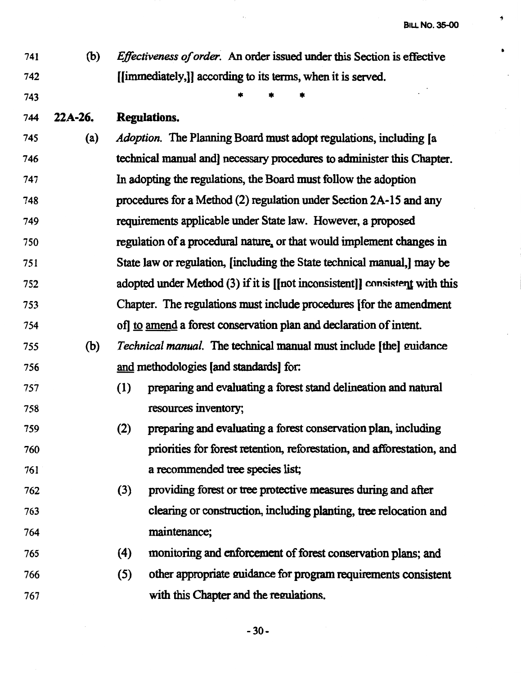•

4

741 742 (b) *Effectiveness of order.* An order issued under this Section is effective [[immediately,]] according to its terms, when it is served.

\* \* \*

744 **22A-26. Regulations.** 

743

- 745 (a) *Adoption.* The Planning Board must adopt regulations, including (a 746 747 748 749 750 751 752 753 754 technical manual and) necessary procedures to administer this Chapter. In adopting the regulations, the Board must follow the adoption procedures for a Method (2) regulation under Section 2A-15 and any requirements applicable under State law. However, a proposed regulation of a procedural nature, or that would implement changes in State law or regulation, (including the State technical manual,] may be adopted under Method  $(3)$  if it is [[not inconsistent]] consistent with this Chapter. The regulations must include procedures [for the amendment of] to amend a forest conservation plan and declaration of intent.
- 755 (b) *Technical manual.* The technical manual must include (the] mridance 756 and methodologies (and standards] for:
- 757 (1) preparing and evaluating a forest stand delineation and natural 758 resources inventory;
- 759 760 761 (2) preparing and evaluating a forest conservation plan, including priorities for forest retention, reforestation, and afforestation, and a recommended tree species list;
- 762 763 764 (3) providing forest or tree protective measures during and after clearing or construction, including planting, tree relocation and maintenance;
- 765 766 767 ( 4) monitoring and enforcement of forest conservation plans; and (5) other appropriate guidance for program requirements consistent with this Chapter and the regulations.

-30-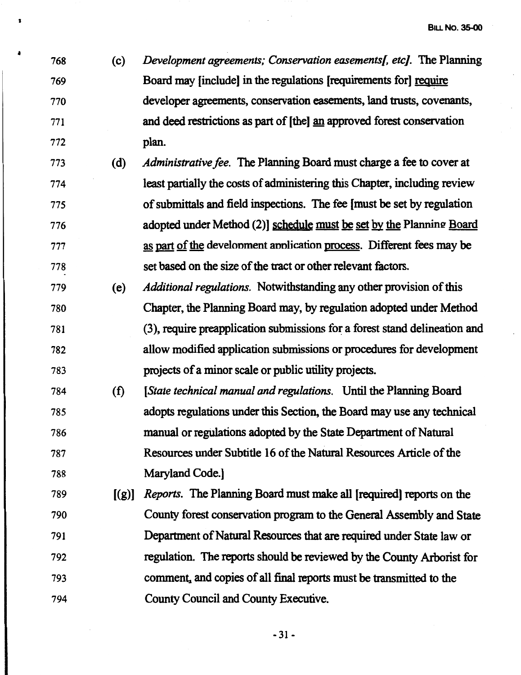768 (c) *Development agreements; Conservation easementsl etc}.* The Planning 769 Board may [include) in the regulations [requirements for] reguire 770 developer agreements, conservation easements, land trusts, covenants, 771 and deed restrictions as part of [the) an approved forest conservation 772 plan.

**1** 

- 773 (d) *Administrative fee.* The Planning Board must charge a fee to cover at 774 least partially the costs of administering this Chapter, including review 775 of submittals and field inspections. The fee [must be set by regulation 776 adopted under Method (2)] schedule must be set by the Planning Board 777 as part of the develonment annlication process. Different fees may be 778 set based on the size of the tract or other relevant factors.
- 779 (e) *Additional regulations.* Notwithstanding any other provision of this 780 Chapter, the Planning Board may, by regulation adopted under Method 781 (3 ), require preapplication submissions fo~ a forest stand delineation and 782 allow modified application submissions or procedures for development 783 projects of a minor scale or public utility projects.
- 784 (t) *(State technical manual and regulations.* Until the Planning Board 785 adopts regulations under this Section, the Board may use any technical 786 manual or regulations adopted by the State Department of Natural 787 Resources under Subtitle 16 of the Natural Resources Article of the 788 Maryland Code.)
- 789 [(g)] *Reports.* The Planning Board must make all (required] reports on the 790 County forest conservation program to the General Assembly and State 791 Department of Natural Resources that are required under State law or 792 regulation. The reports should be reviewed by the County Arborist for 793 comment, and copies of all final reports must be transmitted to the 794 County Council and County Executive.

 $-31 -$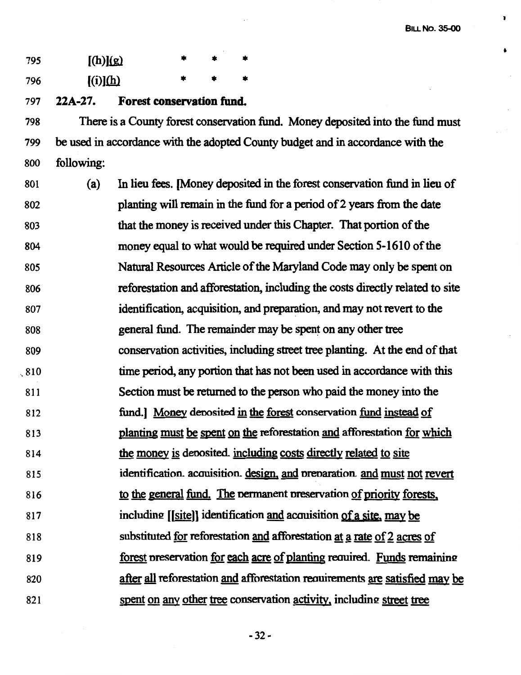**l** 

 $\Delta$ 

| 795 | [(h)](g) |  |  |
|-----|----------|--|--|
| 796 | [(i)](h) |  |  |

797 **22A-27. Forest conservation fund.** 

798 There is a County forest conservation fund. Money deposited into the fund must 799 be used in accordance with the adopted County budget and in accordance with the 800 following:

801 802 803 804 805 806 807 808 809 ·, 810 811 812 813 814 815 816 817 818 819 820 821 (a) In lieu fees. [Money deposited in the forest conservation fund in lieu of planting will remain in the fund for a period of 2 years from the date that the money is received under this Chapter. That portion of the money equal to what would be required under Section 5-1610 of the Natural Resources Article of the Maryland Code may only be spent on reforestation and afforestation, including the costs directly related to site identification, acquisition, and preparation, and may not revert to the general fund. The remainder may be spent on any other tree conservation activities, including street tree planting. At the end of that time period, any portion that has not been used in accordance with this Section must be returned to the person who paid the money into the fund.) Money denosited in the forest conservation fund instead of planting must be spent on the reforestation and afforestation for which the money is deoosited. including costs directly related to site identification. acouisition. design. and nrenaration and must not revert to the general fund. The nermanent nreservation of priority forests. including [[site]] identification and acquisition of a site, may be substituted for reforestation and afforestation at a rate of 2 acres of forest preservation for each acre of planting required. Funds remaining after all reforestation and afforestation requirements are satisfied may be spent on any other tree conservation activity, including street tree